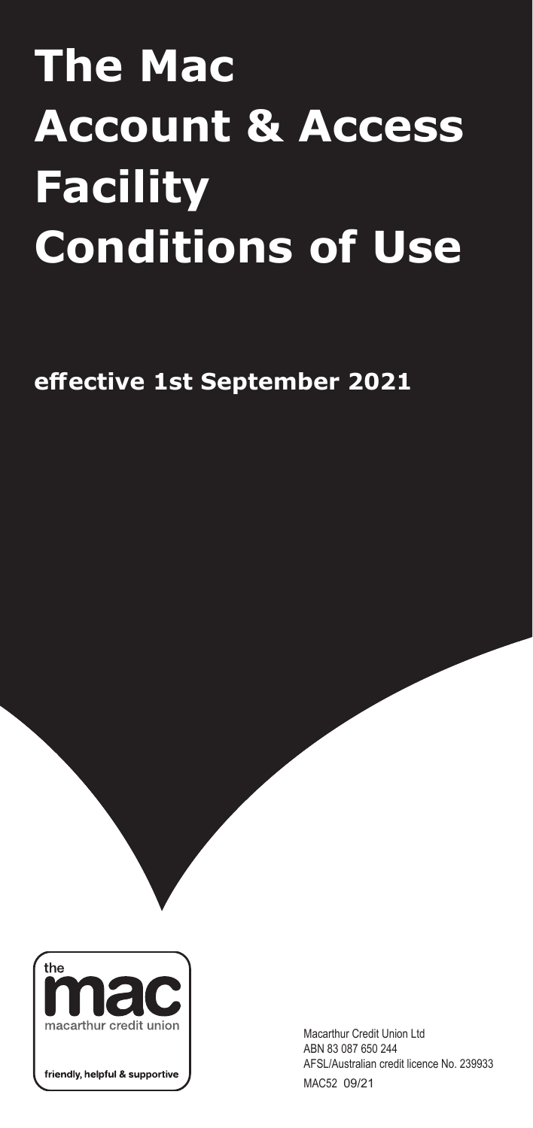# **The Mac Account & Access Facility Conditions of Use**

## **effective 1st September 2021**



Macarthur Credit Union Ltd ABN 83 087 650 244 AFSL/Australian credit licence No. 239933 MAC52 09/21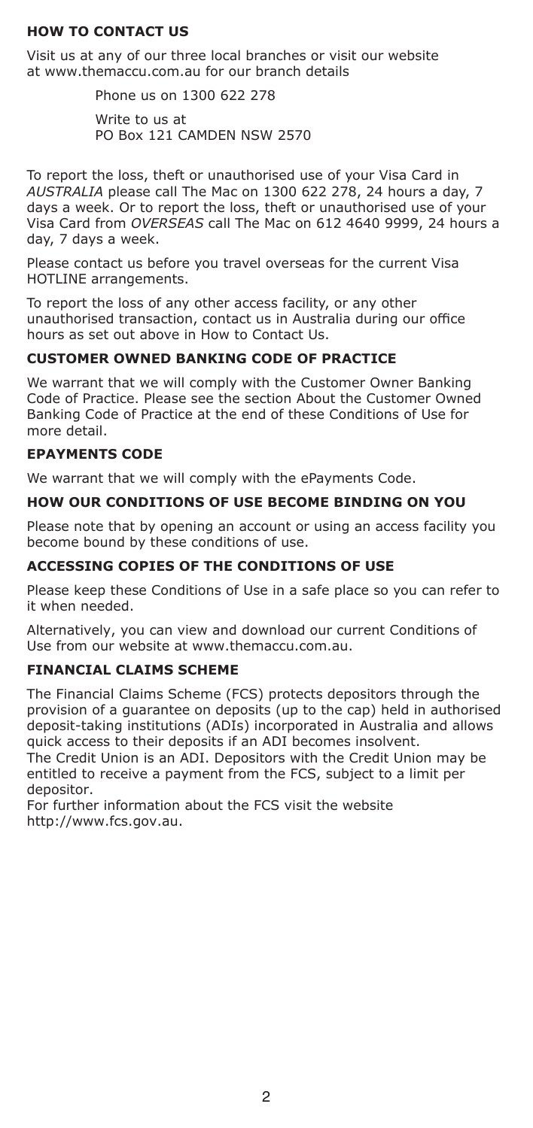#### **HOW TO CONTACT US**

Visit us at any of our three local branches or visit our website at www.themaccu.com.au for our branch details

> Phone us on 1300 622 278 Write to us at PO Box 121 CAMDEN NSW 2570

To report the loss, theft or unauthorised use of your Visa Card in *AUSTRALIA* please call The Mac on 1300 622 278, 24 hours a day, 7 days a week. Or to report the loss, theft or unauthorised use of your Visa Card from *OVERSEAS* call The Mac on 612 4640 9999, 24 hours a day, 7 days a week.

Please contact us before you travel overseas for the current Visa HOTLINE arrangements.

To report the loss of any other access facility, or any other unauthorised transaction, contact us in Australia during our office hours as set out above in How to Contact Us.

#### **CUSTOMER OWNED BANKING CODE OF PRACTICE**

We warrant that we will comply with the Customer Owner Banking Code of Practice. Please see the section About the Customer Owned Banking Code of Practice at the end of these Conditions of Use for more detail.

#### **EPAYMENTS CODE**

We warrant that we will comply with the ePayments Code.

#### **HOW OUR CONDITIONS OF USE BECOME BINDING ON YOU**

Please note that by opening an account or using an access facility you become bound by these conditions of use.

#### **ACCESSING COPIES OF THE CONDITIONS OF USE**

Please keep these Conditions of Use in a safe place so you can refer to it when needed.

Alternatively, you can view and download our current Conditions of Use from our website at www.themaccu.com.au.

#### **FINANCIAL CLAIMS SCHEME**

The Financial Claims Scheme (FCS) protects depositors through the provision of a guarantee on deposits (up to the cap) held in authorised deposit-taking institutions (ADIs) incorporated in Australia and allows quick access to their deposits if an ADI becomes insolvent.

The Credit Union is an ADI. Depositors with the Credit Union may be entitled to receive a payment from the FCS, subject to a limit per depositor.

For further information about the FCS visit the website http://www.fcs.gov.au.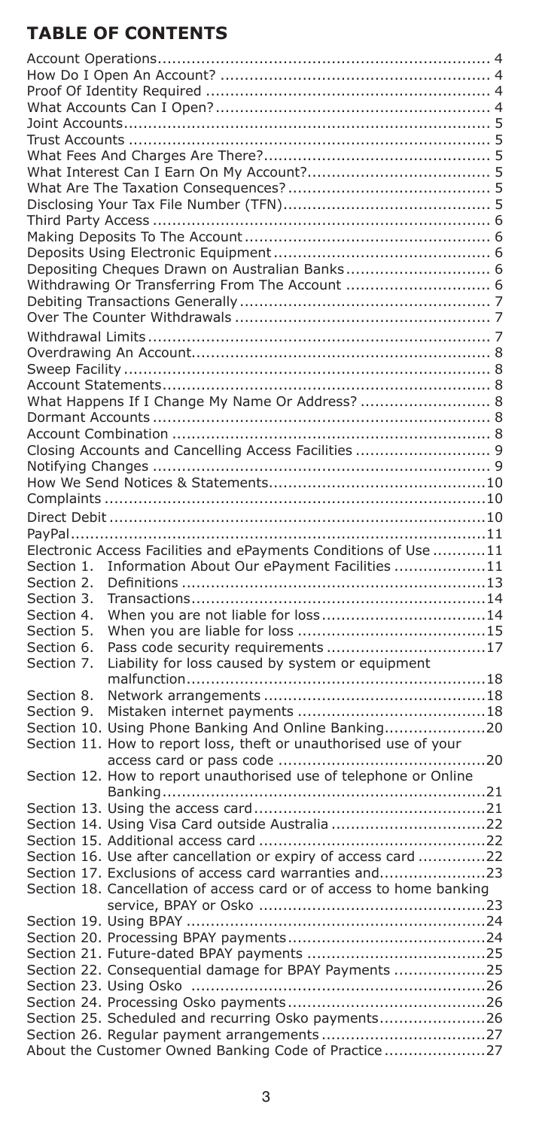## **TABLE OF CONTENTS**

| Depositing Cheques Drawn on Australian Banks 6                       |      |
|----------------------------------------------------------------------|------|
|                                                                      |      |
|                                                                      |      |
|                                                                      |      |
|                                                                      |      |
|                                                                      |      |
|                                                                      |      |
|                                                                      |      |
| What Happens If I Change My Name Or Address?  8                      |      |
|                                                                      |      |
|                                                                      |      |
|                                                                      |      |
|                                                                      |      |
|                                                                      |      |
|                                                                      |      |
|                                                                      |      |
|                                                                      |      |
| Electronic Access Facilities and ePayments Conditions of Use 11      |      |
| Information About Our ePayment Facilities 11<br>Section 1.           |      |
| Section 2.                                                           |      |
| Section 3.                                                           |      |
|                                                                      |      |
| Section 4.<br>Section 5.                                             |      |
| Section 6.                                                           |      |
|                                                                      |      |
| Liability for loss caused by system or equipment<br>Section 7.       |      |
|                                                                      |      |
| Section 8.                                                           |      |
| Section 9.                                                           |      |
| Section 10. Using Phone Banking And Online Banking20                 |      |
| Section 11. How to report loss, theft or unauthorised use of your    |      |
|                                                                      |      |
| Section 12. How to report unauthorised use of telephone or Online    |      |
|                                                                      |      |
|                                                                      |      |
| Section 14. Using Visa Card outside Australia 22                     |      |
|                                                                      |      |
| Section 16. Use after cancellation or expiry of access card 22       |      |
| Section 17. Exclusions of access card warranties and23               |      |
| Section 18. Cancellation of access card or of access to home banking |      |
|                                                                      | 52.، |
|                                                                      |      |
|                                                                      |      |
|                                                                      |      |
| Section 22. Consequential damage for BPAY Payments 25                |      |
|                                                                      |      |
|                                                                      |      |
| Section 25. Scheduled and recurring Osko payments26                  |      |
|                                                                      |      |
| About the Customer Owned Banking Code of Practice27                  |      |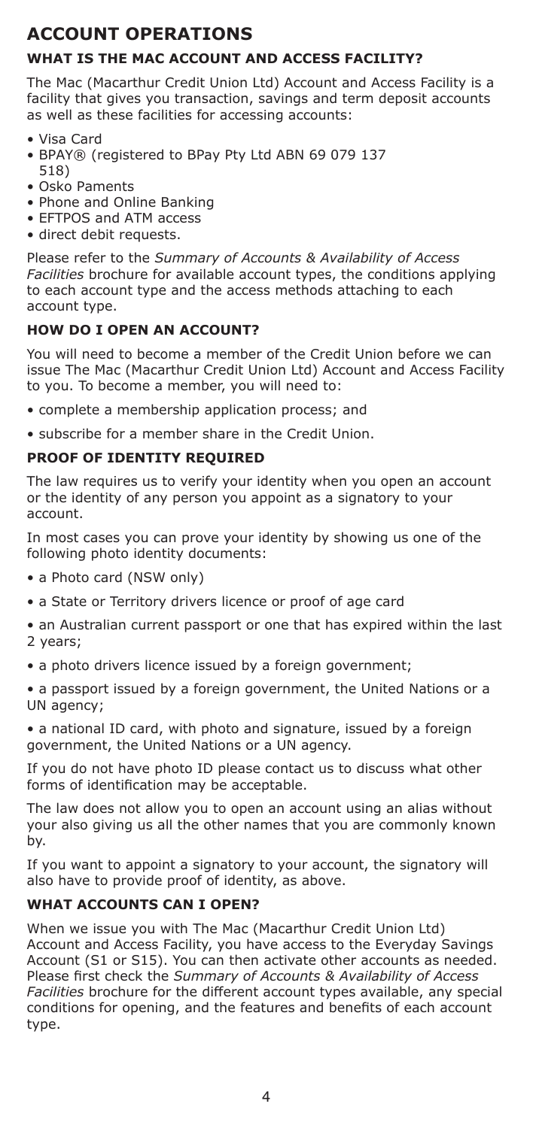### **ACCOUNT OPERATIONS**

#### **WHAT IS THE MAC ACCOUNT AND ACCESS FACILITY?**

The Mac (Macarthur Credit Union Ltd) Account and Access Facility is a facility that gives you transaction, savings and term deposit accounts as well as these facilities for accessing accounts:

- Visa Card
- BPAY® (registered to BPay Pty Ltd ABN 69 079 137 518)
- Osko Paments
- Phone and Online Banking
- EFTPOS and ATM access
- direct debit requests.

Please refer to the *Summary of Accounts & Availability of Access Facilities* brochure for available account types, the conditions applying to each account type and the access methods attaching to each account type.

#### **HOW DO I OPEN AN ACCOUNT?**

You will need to become a member of the Credit Union before we can issue The Mac (Macarthur Credit Union Ltd) Account and Access Facility to you. To become a member, you will need to:

- complete a membership application process; and
- subscribe for a member share in the Credit Union.

#### **PROOF OF IDENTITY REQUIRED**

The law requires us to verify your identity when you open an account or the identity of any person you appoint as a signatory to your account.

In most cases you can prove your identity by showing us one of the following photo identity documents:

- a Photo card (NSW only)
- a State or Territory drivers licence or proof of age card
- an Australian current passport or one that has expired within the last 2 years;
- a photo drivers licence issued by a foreign government;

• a passport issued by a foreign government, the United Nations or a UN agency;

• a national ID card, with photo and signature, issued by a foreign government, the United Nations or a UN agency.

If you do not have photo ID please contact us to discuss what other forms of identification may be acceptable.

The law does not allow you to open an account using an alias without your also giving us all the other names that you are commonly known by.

If you want to appoint a signatory to your account, the signatory will also have to provide proof of identity, as above.

#### **WHAT ACCOUNTS CAN I OPEN?**

When we issue you with The Mac (Macarthur Credit Union Ltd) Account and Access Facility, you have access to the Everyday Savings Account (S1 or S15). You can then activate other accounts as needed. Please first check the *Summary of Accounts & Availability of Access Facilities* brochure for the different account types available, any special conditions for opening, and the features and benefits of each account type.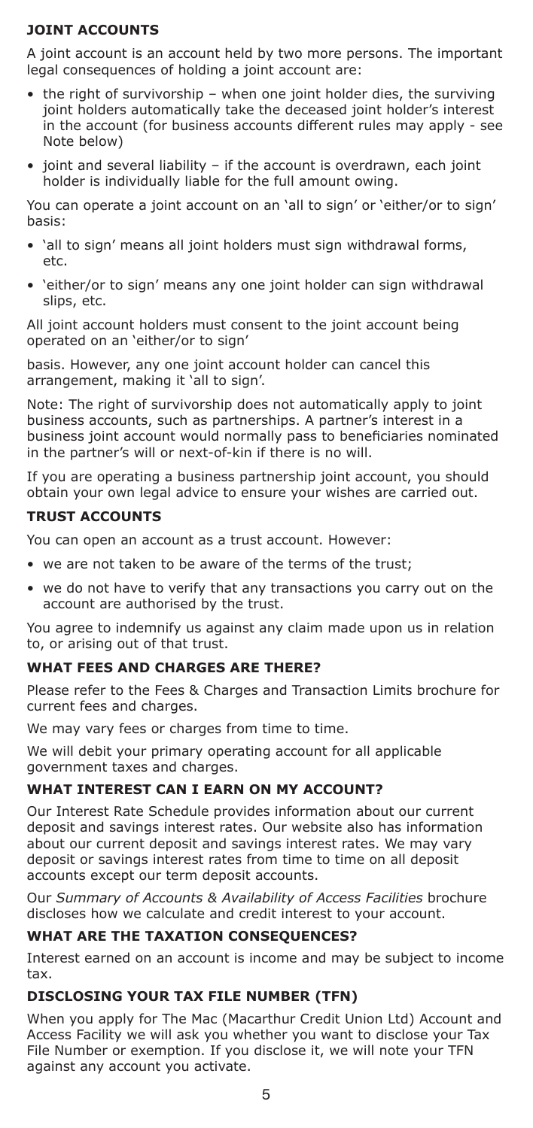#### **JOINT ACCOUNTS**

A joint account is an account held by two more persons. The important legal consequences of holding a joint account are:

- the right of survivorship when one joint holder dies, the surviving joint holders automatically take the deceased joint holder's interest in the account (for business accounts different rules may apply - see Note below)
- joint and several liability if the account is overdrawn, each joint holder is individually liable for the full amount owing.

You can operate a joint account on an 'all to sign' or 'either/or to sign' basis:

- 'all to sign' means all joint holders must sign withdrawal forms, etc.
- 'either/or to sign' means any one joint holder can sign withdrawal slips, etc.

All joint account holders must consent to the joint account being operated on an 'either/or to sign'

basis. However, any one joint account holder can cancel this arrangement, making it 'all to sign'.

Note: The right of survivorship does not automatically apply to joint business accounts, such as partnerships. A partner's interest in a business joint account would normally pass to beneficiaries nominated in the partner's will or next-of-kin if there is no will.

If you are operating a business partnership joint account, you should obtain your own legal advice to ensure your wishes are carried out.

#### **TRUST ACCOUNTS**

You can open an account as a trust account. However:

- we are not taken to be aware of the terms of the trust;
- we do not have to verify that any transactions you carry out on the account are authorised by the trust.

You agree to indemnify us against any claim made upon us in relation to, or arising out of that trust.

#### **WHAT FEES AND CHARGES ARE THERE?**

Please refer to the Fees & Charges and Transaction Limits brochure for current fees and charges.

We may vary fees or charges from time to time.

We will debit your primary operating account for all applicable government taxes and charges.

#### **WHAT INTEREST CAN I EARN ON MY ACCOUNT?**

Our Interest Rate Schedule provides information about our current deposit and savings interest rates. Our website also has information about our current deposit and savings interest rates. We may vary deposit or savings interest rates from time to time on all deposit accounts except our term deposit accounts.

Our *Summary of Accounts & Availability of Access Facilities* brochure discloses how we calculate and credit interest to your account.

#### **WHAT ARE THE TAXATION CONSEQUENCES?**

Interest earned on an account is income and may be subject to income tax.

#### **DISCLOSING YOUR TAX FILE NUMBER (TFN)**

When you apply for The Mac (Macarthur Credit Union Ltd) Account and Access Facility we will ask you whether you want to disclose your Tax File Number or exemption. If you disclose it, we will note your TFN against any account you activate.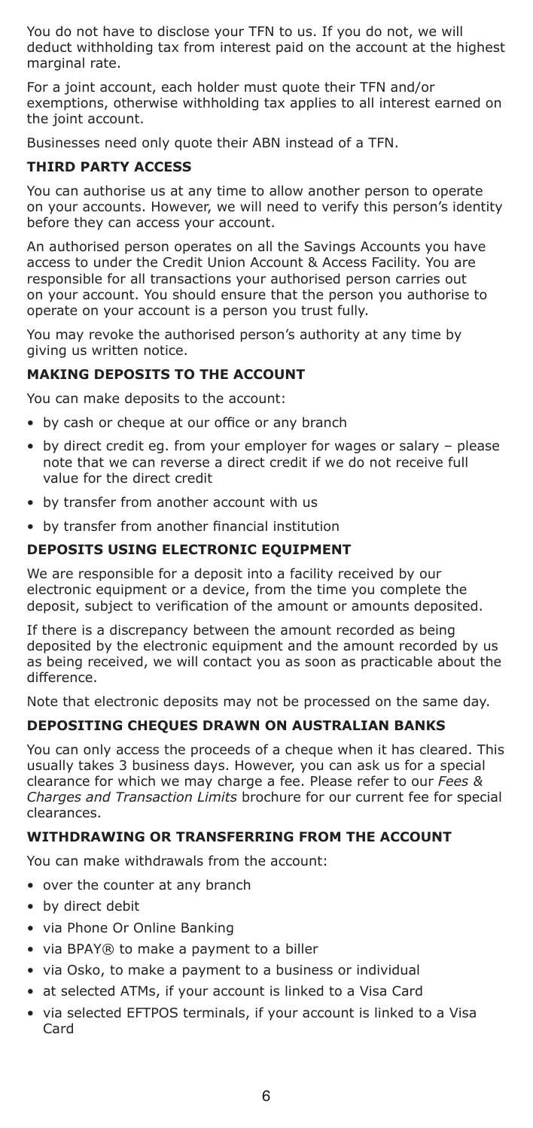You do not have to disclose your TFN to us. If you do not, we will deduct withholding tax from interest paid on the account at the highest marginal rate.

For a joint account, each holder must quote their TFN and/or exemptions, otherwise withholding tax applies to all interest earned on the joint account.

Businesses need only quote their ABN instead of a TFN.

#### **THIRD PARTY ACCESS**

You can authorise us at any time to allow another person to operate on your accounts. However, we will need to verify this person's identity before they can access your account.

An authorised person operates on all the Savings Accounts you have access to under the Credit Union Account & Access Facility. You are responsible for all transactions your authorised person carries out on your account. You should ensure that the person you authorise to operate on your account is a person you trust fully.

You may revoke the authorised person's authority at any time by giving us written notice.

#### **MAKING DEPOSITS TO THE ACCOUNT**

You can make deposits to the account:

- by cash or cheque at our office or any branch
- by direct credit eg. from your employer for wages or salary please note that we can reverse a direct credit if we do not receive full value for the direct credit
- by transfer from another account with us
- by transfer from another financial institution

#### **DEPOSITS USING ELECTRONIC EQUIPMENT**

We are responsible for a deposit into a facility received by our electronic equipment or a device, from the time you complete the deposit, subject to verification of the amount or amounts deposited.

If there is a discrepancy between the amount recorded as being deposited by the electronic equipment and the amount recorded by us as being received, we will contact you as soon as practicable about the difference.

Note that electronic deposits may not be processed on the same day.

#### **DEPOSITING CHEQUES DRAWN ON AUSTRALIAN BANKS**

You can only access the proceeds of a cheque when it has cleared. This usually takes 3 business days. However, you can ask us for a special clearance for which we may charge a fee. Please refer to our *Fees & Charges and Transaction Limits* brochure for our current fee for special clearances.

#### **WITHDRAWING OR TRANSFERRING FROM THE ACCOUNT**

You can make withdrawals from the account:

- over the counter at any branch
- by direct debit
- via Phone Or Online Banking
- via BPAY® to make a payment to a biller
- via Osko, to make a payment to a business or individual
- at selected ATMs, if your account is linked to a Visa Card
- via selected EFTPOS terminals, if your account is linked to a Visa Card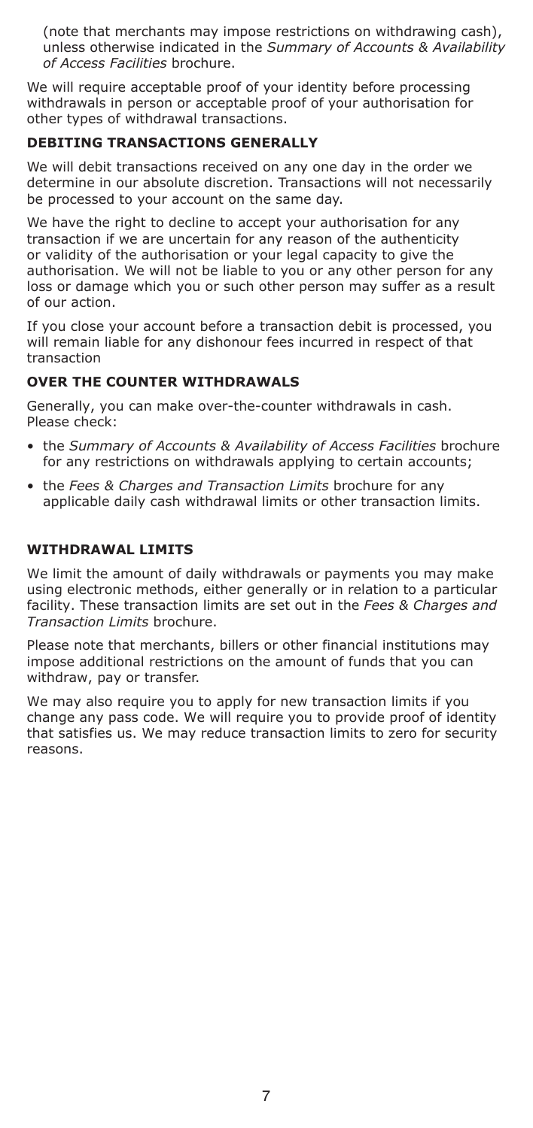(note that merchants may impose restrictions on withdrawing cash), unless otherwise indicated in the *Summary of Accounts & Availability of Access Facilities* brochure.

We will require acceptable proof of your identity before processing withdrawals in person or acceptable proof of your authorisation for other types of withdrawal transactions.

#### **DEBITING TRANSACTIONS GENERALLY**

We will debit transactions received on any one day in the order we determine in our absolute discretion. Transactions will not necessarily be processed to your account on the same day.

We have the right to decline to accept your authorisation for any transaction if we are uncertain for any reason of the authenticity or validity of the authorisation or your legal capacity to give the authorisation. We will not be liable to you or any other person for any loss or damage which you or such other person may suffer as a result of our action.

If you close your account before a transaction debit is processed, you will remain liable for any dishonour fees incurred in respect of that transaction

#### **OVER THE COUNTER WITHDRAWALS**

Generally, you can make over-the-counter withdrawals in cash. Please check:

- the *Summary of Accounts & Availability of Access Facilities* brochure for any restrictions on withdrawals applying to certain accounts;
- the *Fees & Charges and Transaction Limits* brochure for any applicable daily cash withdrawal limits or other transaction limits.

#### **WITHDRAWAL LIMITS**

We limit the amount of daily withdrawals or payments you may make using electronic methods, either generally or in relation to a particular facility. These transaction limits are set out in the *Fees & Charges and Transaction Limits* brochure.

Please note that merchants, billers or other financial institutions may impose additional restrictions on the amount of funds that you can withdraw, pay or transfer.

We may also require you to apply for new transaction limits if you change any pass code. We will require you to provide proof of identity that satisfies us. We may reduce transaction limits to zero for security reasons.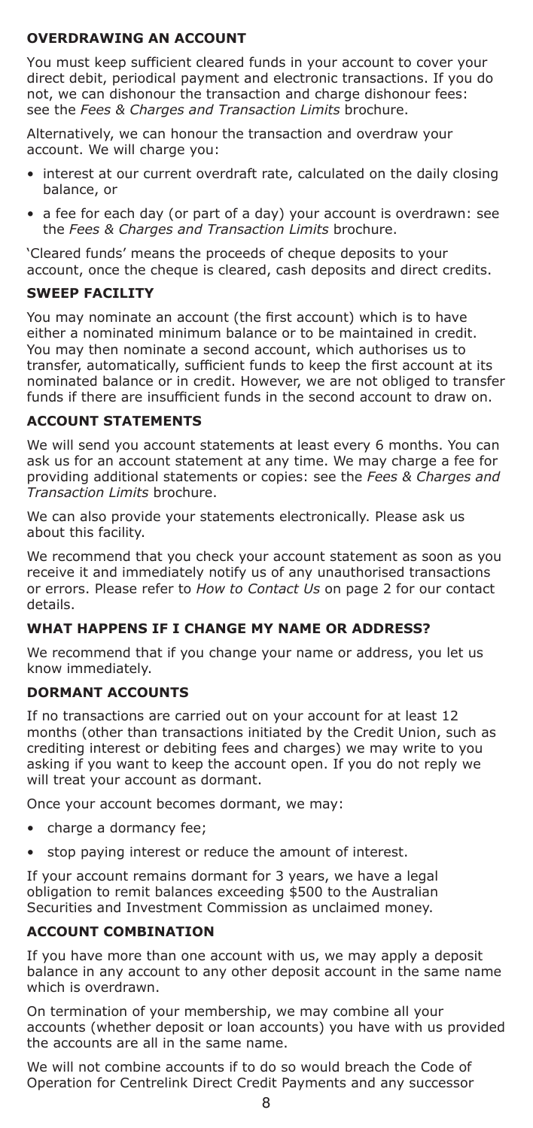#### **OVERDRAWING AN ACCOUNT**

You must keep sufficient cleared funds in your account to cover your direct debit, periodical payment and electronic transactions. If you do not, we can dishonour the transaction and charge dishonour fees: see the *Fees & Charges and Transaction Limits* brochure.

Alternatively, we can honour the transaction and overdraw your account. We will charge you:

- interest at our current overdraft rate, calculated on the daily closing balance, or
- a fee for each day (or part of a day) your account is overdrawn: see the *Fees & Charges and Transaction Limits* brochure.

'Cleared funds' means the proceeds of cheque deposits to your account, once the cheque is cleared, cash deposits and direct credits.

#### **SWEEP FACILITY**

You may nominate an account (the first account) which is to have either a nominated minimum balance or to be maintained in credit. You may then nominate a second account, which authorises us to transfer, automatically, sufficient funds to keep the first account at its nominated balance or in credit. However, we are not obliged to transfer funds if there are insufficient funds in the second account to draw on.

#### **ACCOUNT STATEMENTS**

We will send you account statements at least every 6 months. You can ask us for an account statement at any time. We may charge a fee for providing additional statements or copies: see the *Fees & Charges and Transaction Limits* brochure.

We can also provide your statements electronically. Please ask us about this facility.

We recommend that you check your account statement as soon as you receive it and immediately notify us of any unauthorised transactions or errors. Please refer to *How to Contact Us* on page 2 for our contact details.

#### **WHAT HAPPENS IF I CHANGE MY NAME OR ADDRESS?**

We recommend that if you change your name or address, you let us know immediately.

#### **DORMANT ACCOUNTS**

If no transactions are carried out on your account for at least 12 months (other than transactions initiated by the Credit Union, such as crediting interest or debiting fees and charges) we may write to you asking if you want to keep the account open. If you do not reply we will treat your account as dormant.

Once your account becomes dormant, we may:

- charge a dormancy fee;
- stop paying interest or reduce the amount of interest.

If your account remains dormant for 3 years, we have a legal obligation to remit balances exceeding \$500 to the Australian Securities and Investment Commission as unclaimed money.

#### **ACCOUNT COMBINATION**

If you have more than one account with us, we may apply a deposit balance in any account to any other deposit account in the same name which is overdrawn.

On termination of your membership, we may combine all your accounts (whether deposit or loan accounts) you have with us provided the accounts are all in the same name.

We will not combine accounts if to do so would breach the Code of Operation for Centrelink Direct Credit Payments and any successor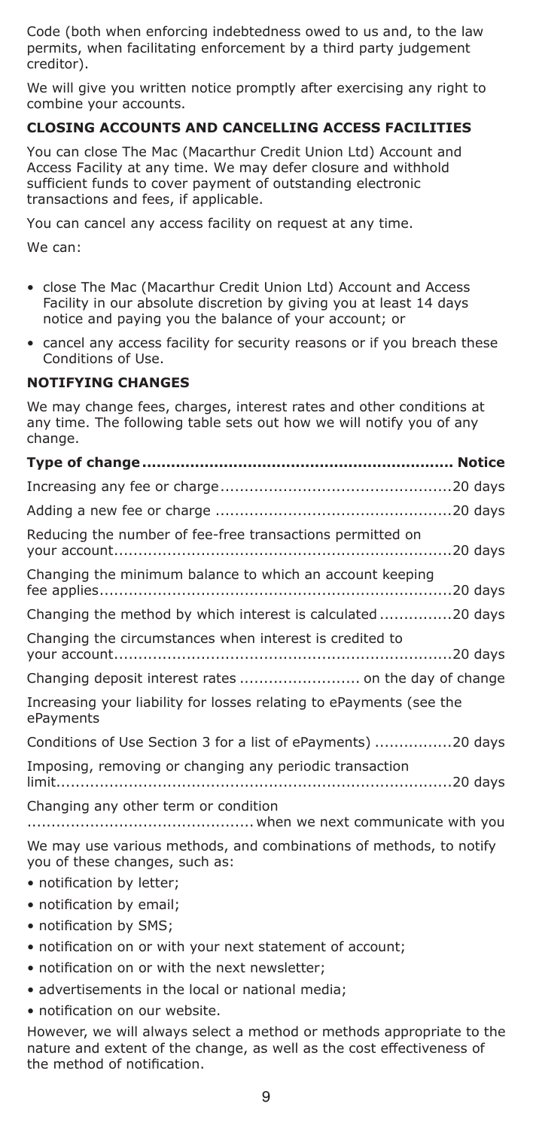Code (both when enforcing indebtedness owed to us and, to the law permits, when facilitating enforcement by a third party judgement creditor).

We will give you written notice promptly after exercising any right to combine your accounts.

#### **CLOSING ACCOUNTS AND CANCELLING ACCESS FACILITIES**

You can close The Mac (Macarthur Credit Union Ltd) Account and Access Facility at any time. We may defer closure and withhold sufficient funds to cover payment of outstanding electronic transactions and fees, if applicable.

You can cancel any access facility on request at any time.

We can:

- close The Mac (Macarthur Credit Union Ltd) Account and Access Facility in our absolute discretion by giving you at least 14 days notice and paying you the balance of your account; or
- cancel any access facility for security reasons or if you breach these Conditions of Use.

#### **NOTIFYING CHANGES**

We may change fees, charges, interest rates and other conditions at any time. The following table sets out how we will notify you of any change.

| Reducing the number of fee-free transactions permitted on                                                                                      |
|------------------------------------------------------------------------------------------------------------------------------------------------|
| Changing the minimum balance to which an account keeping                                                                                       |
| Changing the method by which interest is calculated20 days                                                                                     |
| Changing the circumstances when interest is credited to                                                                                        |
|                                                                                                                                                |
| Increasing your liability for losses relating to ePayments (see the<br>ePayments                                                               |
| Conditions of Use Section 3 for a list of ePayments) 20 days                                                                                   |
| Imposing, removing or changing any periodic transaction                                                                                        |
| Changing any other term or condition                                                                                                           |
| We may use various methods, and combinations of methods, to notify<br>you of these changes, such as:                                           |
| • notification by letter;                                                                                                                      |
| • notification by email;                                                                                                                       |
| • notification by SMS;                                                                                                                         |
| • notification on or with your next statement of account;                                                                                      |
| • notification on or with the next newsletter;                                                                                                 |
| • advertisements in the local or national media;                                                                                               |
| • notification on our website.                                                                                                                 |
| However, we will always select a method or methods appropriate to the<br>nature and extent of the change, as well as the cost effectiveness of |

the method of notification.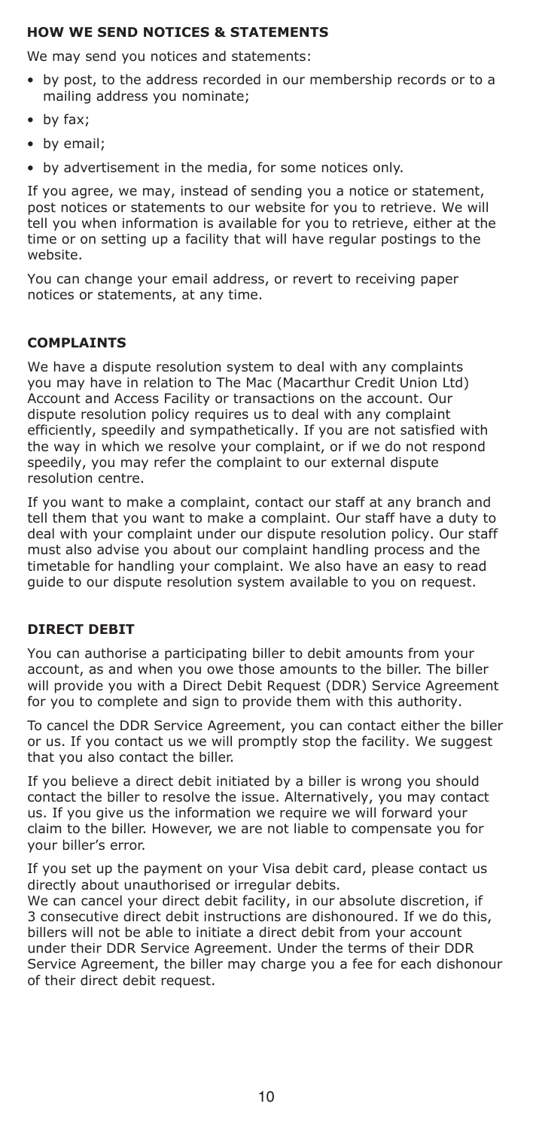#### **HOW WE SEND NOTICES & STATEMENTS**

We may send you notices and statements:

- by post, to the address recorded in our membership records or to a mailing address you nominate;
- by fax;
- by email;
- by advertisement in the media, for some notices only.

If you agree, we may, instead of sending you a notice or statement, post notices or statements to our website for you to retrieve. We will tell you when information is available for you to retrieve, either at the time or on setting up a facility that will have regular postings to the website.

You can change your email address, or revert to receiving paper notices or statements, at any time.

#### **COMPLAINTS**

We have a dispute resolution system to deal with any complaints you may have in relation to The Mac (Macarthur Credit Union Ltd) Account and Access Facility or transactions on the account. Our dispute resolution policy requires us to deal with any complaint efficiently, speedily and sympathetically. If you are not satisfied with the way in which we resolve your complaint, or if we do not respond speedily, you may refer the complaint to our external dispute resolution centre.

If you want to make a complaint, contact our staff at any branch and tell them that you want to make a complaint. Our staff have a duty to deal with your complaint under our dispute resolution policy. Our staff must also advise you about our complaint handling process and the timetable for handling your complaint. We also have an easy to read guide to our dispute resolution system available to you on request.

#### **DIRECT DEBIT**

You can authorise a participating biller to debit amounts from your account, as and when you owe those amounts to the biller. The biller will provide you with a Direct Debit Request (DDR) Service Agreement for you to complete and sign to provide them with this authority.

To cancel the DDR Service Agreement, you can contact either the biller or us. If you contact us we will promptly stop the facility. We suggest that you also contact the biller.

If you believe a direct debit initiated by a biller is wrong you should contact the biller to resolve the issue. Alternatively, you may contact us. If you give us the information we require we will forward your claim to the biller. However, we are not liable to compensate you for your biller's error.

If you set up the payment on your Visa debit card, please contact us directly about unauthorised or irregular debits.

We can cancel your direct debit facility, in our absolute discretion, if 3 consecutive direct debit instructions are dishonoured. If we do this, billers will not be able to initiate a direct debit from your account under their DDR Service Agreement. Under the terms of their DDR Service Agreement, the biller may charge you a fee for each dishonour of their direct debit request.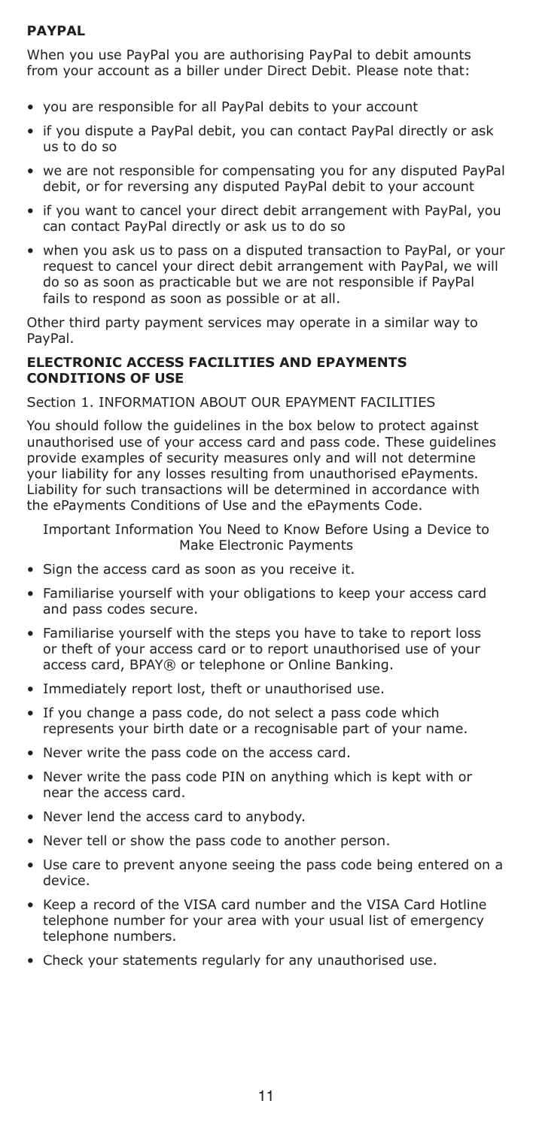#### **PAYPAL**

When you use PayPal you are authorising PayPal to debit amounts from your account as a biller under Direct Debit. Please note that:

- you are responsible for all PayPal debits to your account
- if you dispute a PayPal debit, you can contact PayPal directly or ask us to do so
- we are not responsible for compensating you for any disputed PayPal debit, or for reversing any disputed PayPal debit to your account
- if you want to cancel your direct debit arrangement with PayPal, you can contact PayPal directly or ask us to do so
- when you ask us to pass on a disputed transaction to PayPal, or your request to cancel your direct debit arrangement with PayPal, we will do so as soon as practicable but we are not responsible if PayPal fails to respond as soon as possible or at all.

Other third party payment services may operate in a similar way to PayPal.

#### **ELECTRONIC ACCESS FACILITIES AND EPAYMENTS CONDITIONS OF USE**

Section 1. INFORMATION ABOUT OUR FPAYMENT FACILITIES

You should follow the guidelines in the box below to protect against unauthorised use of your access card and pass code. These guidelines provide examples of security measures only and will not determine your liability for any losses resulting from unauthorised ePayments. Liability for such transactions will be determined in accordance with the ePayments Conditions of Use and the ePayments Code.

Important Information You Need to Know Before Using a Device to Make Electronic Payments

- Sign the access card as soon as you receive it.
- Familiarise yourself with your obligations to keep your access card and pass codes secure.
- Familiarise yourself with the steps you have to take to report loss or theft of your access card or to report unauthorised use of your access card, BPAY® or telephone or Online Banking.
- Immediately report lost, theft or unauthorised use.
- If you change a pass code, do not select a pass code which represents your birth date or a recognisable part of your name.
- Never write the pass code on the access card.
- Never write the pass code PIN on anything which is kept with or near the access card.
- Never lend the access card to anybody.
- Never tell or show the pass code to another person.
- Use care to prevent anyone seeing the pass code being entered on a device.
- Keep a record of the VISA card number and the VISA Card Hotline telephone number for your area with your usual list of emergency telephone numbers.
- Check your statements regularly for any unauthorised use.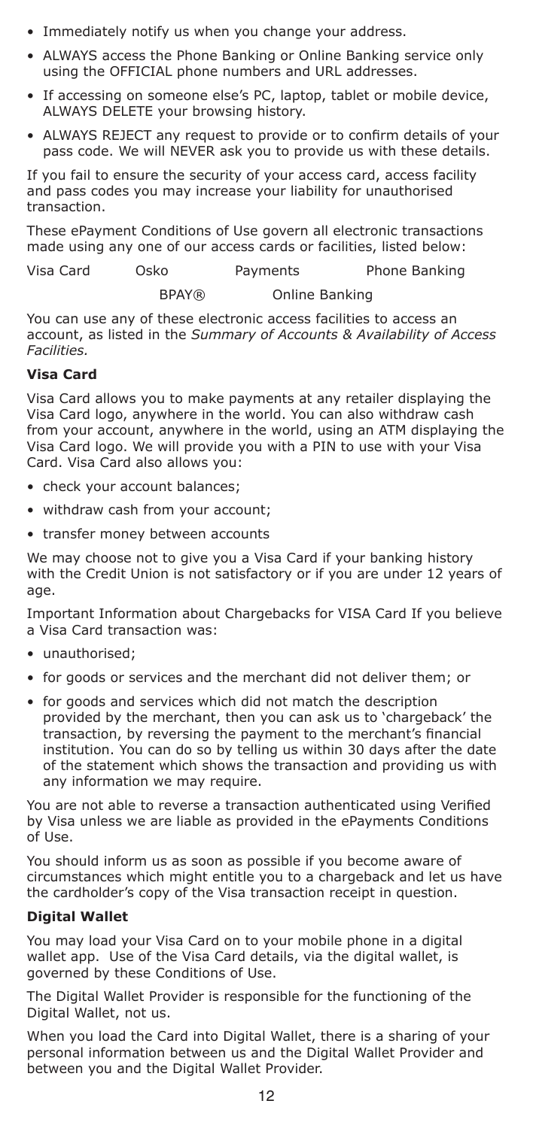- Immediately notify us when you change your address.
- ALWAYS access the Phone Banking or Online Banking service only using the OFFICIAL phone numbers and URL addresses.
- If accessing on someone else's PC, laptop, tablet or mobile device, ALWAYS DELETE your browsing history.
- ALWAYS REJECT any request to provide or to confirm details of your pass code. We will NEVER ask you to provide us with these details.

If you fail to ensure the security of your access card, access facility and pass codes you may increase your liability for unauthorised transaction.

These ePayment Conditions of Use govern all electronic transactions made using any one of our access cards or facilities, listed below:

Visa Card Osko Payments Phone Banking BPAY® Online Banking

You can use any of these electronic access facilities to access an account, as listed in the *Summary of Accounts & Availability of Access Facilities.*

#### **Visa Card**

Visa Card allows you to make payments at any retailer displaying the Visa Card logo, anywhere in the world. You can also withdraw cash from your account, anywhere in the world, using an ATM displaying the Visa Card logo. We will provide you with a PIN to use with your Visa Card. Visa Card also allows you:

- check your account balances;
- withdraw cash from your account;
- transfer money between accounts

We may choose not to give you a Visa Card if your banking history with the Credit Union is not satisfactory or if you are under 12 years of age.

Important Information about Chargebacks for VISA Card If you believe a Visa Card transaction was:

- unauthorised;
- for goods or services and the merchant did not deliver them; or
- for goods and services which did not match the description provided by the merchant, then you can ask us to 'chargeback' the transaction, by reversing the payment to the merchant's financial institution. You can do so by telling us within 30 days after the date of the statement which shows the transaction and providing us with any information we may require.

You are not able to reverse a transaction authenticated using Verified by Visa unless we are liable as provided in the ePayments Conditions of Use.

You should inform us as soon as possible if you become aware of circumstances which might entitle you to a chargeback and let us have the cardholder's copy of the Visa transaction receipt in question.

#### **Digital Wallet**

You may load your Visa Card on to your mobile phone in a digital wallet app. Use of the Visa Card details, via the digital wallet, is governed by these Conditions of Use.

The Digital Wallet Provider is responsible for the functioning of the Digital Wallet, not us.

When you load the Card into Digital Wallet, there is a sharing of your personal information between us and the Digital Wallet Provider and between you and the Digital Wallet Provider.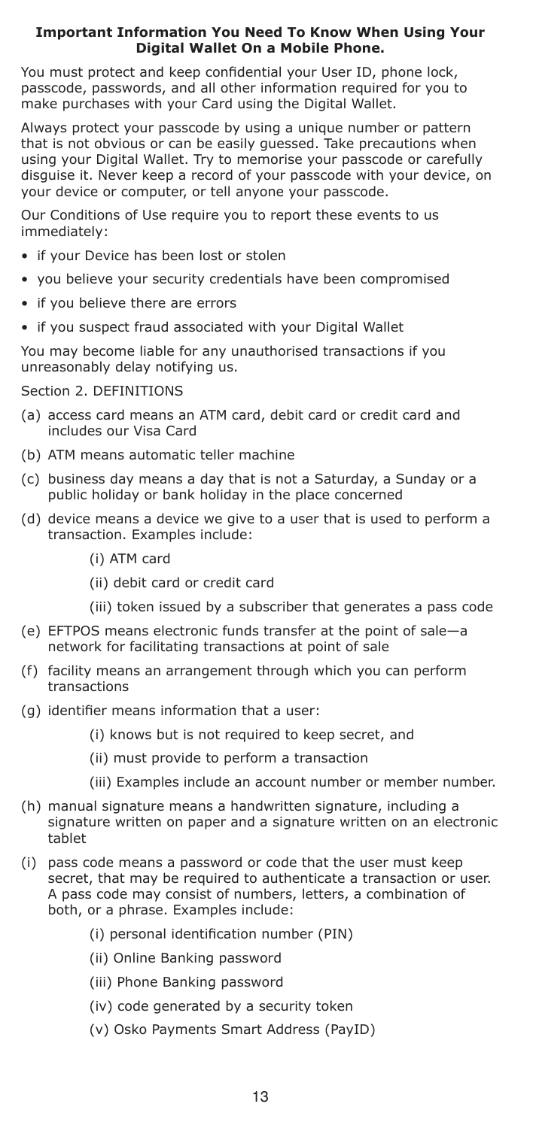#### **Important Information You Need To Know When Using Your Digital Wallet On a Mobile Phone.**

You must protect and keep confidential your User ID, phone lock, passcode, passwords, and all other information required for you to make purchases with your Card using the Digital Wallet.

Always protect your passcode by using a unique number or pattern that is not obvious or can be easily guessed. Take precautions when using your Digital Wallet. Try to memorise your passcode or carefully disguise it. Never keep a record of your passcode with your device, on your device or computer, or tell anyone your passcode.

Our Conditions of Use require you to report these events to us immediately:

- if your Device has been lost or stolen
- you believe your security credentials have been compromised
- if you believe there are errors
- if you suspect fraud associated with your Digital Wallet

You may become liable for any unauthorised transactions if you unreasonably delay notifying us.

#### Section 2. DEFINITIONS

- (a) access card means an ATM card, debit card or credit card and includes our Visa Card
- (b) ATM means automatic teller machine
- (c) business day means a day that is not a Saturday, a Sunday or a public holiday or bank holiday in the place concerned
- (d) device means a device we give to a user that is used to perform a transaction. Examples include:
	- (i) ATM card
	- (ii) debit card or credit card
	- (iii) token issued by a subscriber that generates a pass code
- (e) EFTPOS means electronic funds transfer at the point of sale—a network for facilitating transactions at point of sale
- (f) facility means an arrangement through which you can perform transactions
- (g) identifier means information that a user:
	- (i) knows but is not required to keep secret, and
	- (ii) must provide to perform a transaction
	- (iii) Examples include an account number or member number.
- (h) manual signature means a handwritten signature, including a signature written on paper and a signature written on an electronic tablet
- (i) pass code means a password or code that the user must keep secret, that may be required to authenticate a transaction or user. A pass code may consist of numbers, letters, a combination of both, or a phrase. Examples include:
	- (i) personal identification number (PIN)
	- (ii) Online Banking password
	- (iii) Phone Banking password
	- (iv) code generated by a security token
	- (v) Osko Payments Smart Address (PayID)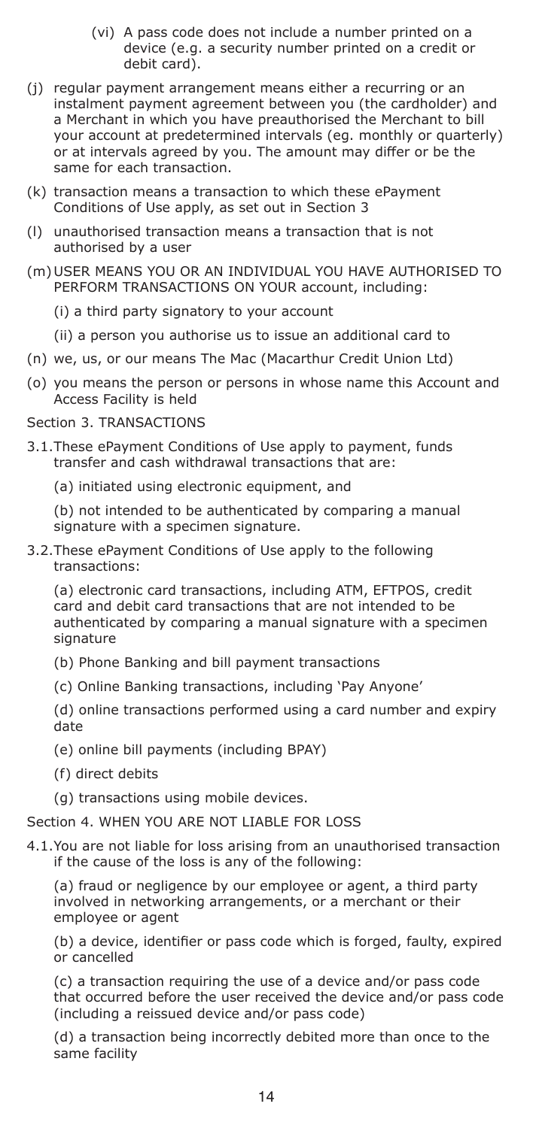- (vi) A pass code does not include a number printed on a device (e.g. a security number printed on a credit or debit card).
- (j) regular payment arrangement means either a recurring or an instalment payment agreement between you (the cardholder) and a Merchant in which you have preauthorised the Merchant to bill your account at predetermined intervals (eg. monthly or quarterly) or at intervals agreed by you. The amount may differ or be the same for each transaction.
- (k) transaction means a transaction to which these ePayment Conditions of Use apply, as set out in Section 3
- (l) unauthorised transaction means a transaction that is not authorised by a user
- (m) USER MEANS YOU OR AN INDIVIDUAL YOU HAVE AUTHORISED TO PERFORM TRANSACTIONS ON YOUR account, including:
	- (i) a third party signatory to your account
	- (ii) a person you authorise us to issue an additional card to
- (n) we, us, or our means The Mac (Macarthur Credit Union Ltd)
- (o) you means the person or persons in whose name this Account and Access Facility is held

#### Section 3. TRANSACTIONS

- 3.1. These ePayment Conditions of Use apply to payment, funds transfer and cash withdrawal transactions that are:
	- (a) initiated using electronic equipment, and

(b) not intended to be authenticated by comparing a manual signature with a specimen signature.

3.2. These ePayment Conditions of Use apply to the following transactions:

(a) electronic card transactions, including ATM, EFTPOS, credit card and debit card transactions that are not intended to be authenticated by comparing a manual signature with a specimen signature

- (b) Phone Banking and bill payment transactions
- (c) Online Banking transactions, including 'Pay Anyone'

(d) online transactions performed using a card number and expiry date

- (e) online bill payments (including BPAY)
- (f) direct debits
- (g) transactions using mobile devices.

#### Section 4. WHEN YOU ARE NOT LIABLE FOR LOSS

4.1. You are not liable for loss arising from an unauthorised transaction if the cause of the loss is any of the following:

(a) fraud or negligence by our employee or agent, a third party involved in networking arrangements, or a merchant or their employee or agent

(b) a device, identifier or pass code which is forged, faulty, expired or cancelled

(c) a transaction requiring the use of a device and/or pass code that occurred before the user received the device and/or pass code (including a reissued device and/or pass code)

(d) a transaction being incorrectly debited more than once to the same facility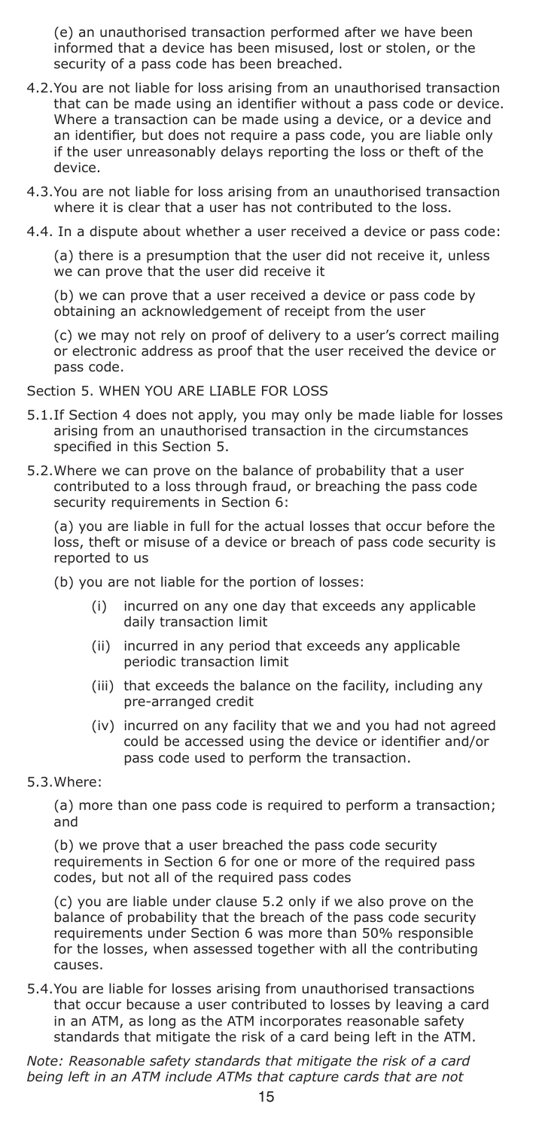(e) an unauthorised transaction performed after we have been informed that a device has been misused, lost or stolen, or the security of a pass code has been breached.

- 4.2. You are not liable for loss arising from an unauthorised transaction that can be made using an identifier without a pass code or device. Where a transaction can be made using a device, or a device and an identifier, but does not require a pass code, you are liable only if the user unreasonably delays reporting the loss or theft of the device.
- 4.3. You are not liable for loss arising from an unauthorised transaction where it is clear that a user has not contributed to the loss.
- 4.4. In a dispute about whether a user received a device or pass code:

(a) there is a presumption that the user did not receive it, unless we can prove that the user did receive it

(b) we can prove that a user received a device or pass code by obtaining an acknowledgement of receipt from the user

(c) we may not rely on proof of delivery to a user's correct mailing or electronic address as proof that the user received the device or pass code.

- Section 5. WHEN YOU ARE LIABLE FOR LOSS
- 5.1. If Section 4 does not apply, you may only be made liable for losses arising from an unauthorised transaction in the circumstances specified in this Section 5.
- 5.2. Where we can prove on the balance of probability that a user contributed to a loss through fraud, or breaching the pass code security requirements in Section 6:

(a) you are liable in full for the actual losses that occur before the loss, theft or misuse of a device or breach of pass code security is reported to us

- (b) you are not liable for the portion of losses:
	- (i) incurred on any one day that exceeds any applicable daily transaction limit
	- (ii) incurred in any period that exceeds any applicable periodic transaction limit
	- (iii) that exceeds the balance on the facility, including any pre-arranged credit
	- (iv) incurred on any facility that we and you had not agreed could be accessed using the device or identifier and/or pass code used to perform the transaction.
- 5.3. Where:

(a) more than one pass code is required to perform a transaction; and

(b) we prove that a user breached the pass code security requirements in Section 6 for one or more of the required pass codes, but not all of the required pass codes

(c) you are liable under clause 5.2 only if we also prove on the balance of probability that the breach of the pass code security requirements under Section 6 was more than 50% responsible for the losses, when assessed together with all the contributing causes.

5.4. You are liable for losses arising from unauthorised transactions that occur because a user contributed to losses by leaving a card in an ATM, as long as the ATM incorporates reasonable safety standards that mitigate the risk of a card being left in the ATM.

*Note: Reasonable safety standards that mitigate the risk of a card being left in an ATM include ATMs that capture cards that are not*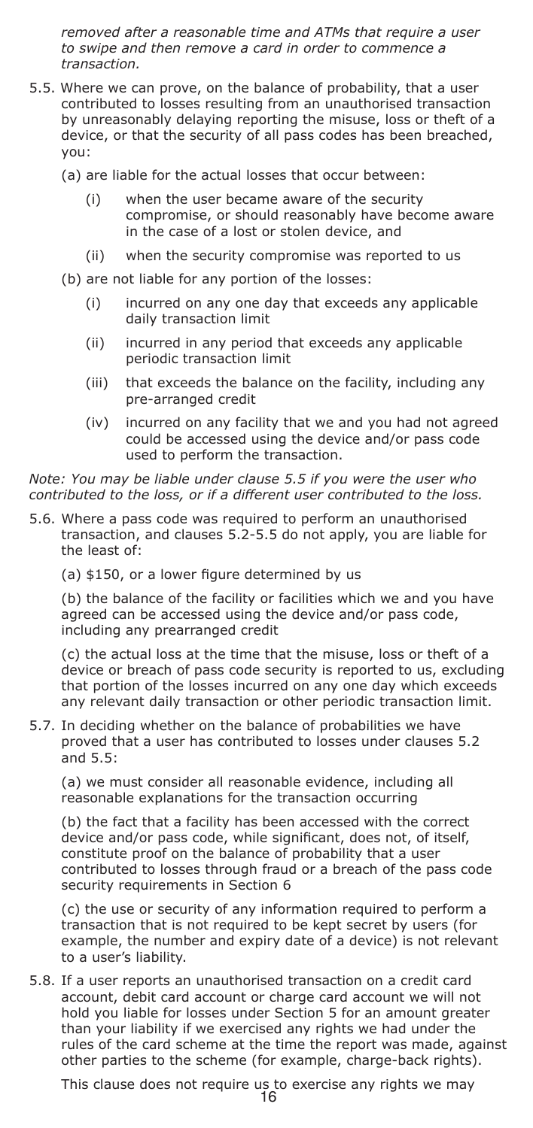*removed after a reasonable time and ATMs that require a user to swipe and then remove a card in order to commence a transaction.*

- 5.5. Where we can prove, on the balance of probability, that a user contributed to losses resulting from an unauthorised transaction by unreasonably delaying reporting the misuse, loss or theft of a device, or that the security of all pass codes has been breached, you:
	- (a) are liable for the actual losses that occur between:
		- (i) when the user became aware of the security compromise, or should reasonably have become aware in the case of a lost or stolen device, and
		- (ii) when the security compromise was reported to us
	- (b) are not liable for any portion of the losses:
		- (i) incurred on any one day that exceeds any applicable daily transaction limit
		- (ii) incurred in any period that exceeds any applicable periodic transaction limit
		- (iii) that exceeds the balance on the facility, including any pre-arranged credit
		- (iv) incurred on any facility that we and you had not agreed could be accessed using the device and/or pass code used to perform the transaction.

*Note: You may be liable under clause 5.5 if you were the user who contributed to the loss, or if a different user contributed to the loss.*

- 5.6. Where a pass code was required to perform an unauthorised transaction, and clauses 5.2-5.5 do not apply, you are liable for the least of:
	- (a) \$150, or a lower figure determined by us

(b) the balance of the facility or facilities which we and you have agreed can be accessed using the device and/or pass code, including any prearranged credit

(c) the actual loss at the time that the misuse, loss or theft of a device or breach of pass code security is reported to us, excluding that portion of the losses incurred on any one day which exceeds any relevant daily transaction or other periodic transaction limit.

5.7. In deciding whether on the balance of probabilities we have proved that a user has contributed to losses under clauses 5.2 and  $5.5$ :

(a) we must consider all reasonable evidence, including all reasonable explanations for the transaction occurring

(b) the fact that a facility has been accessed with the correct device and/or pass code, while significant, does not, of itself, constitute proof on the balance of probability that a user contributed to losses through fraud or a breach of the pass code security requirements in Section 6

(c) the use or security of any information required to perform a transaction that is not required to be kept secret by users (for example, the number and expiry date of a device) is not relevant to a user's liability.

5.8. If a user reports an unauthorised transaction on a credit card account, debit card account or charge card account we will not hold you liable for losses under Section 5 for an amount greater than your liability if we exercised any rights we had under the rules of the card scheme at the time the report was made, against other parties to the scheme (for example, charge-back rights).

This clause does not require us to exercise any rights we may 16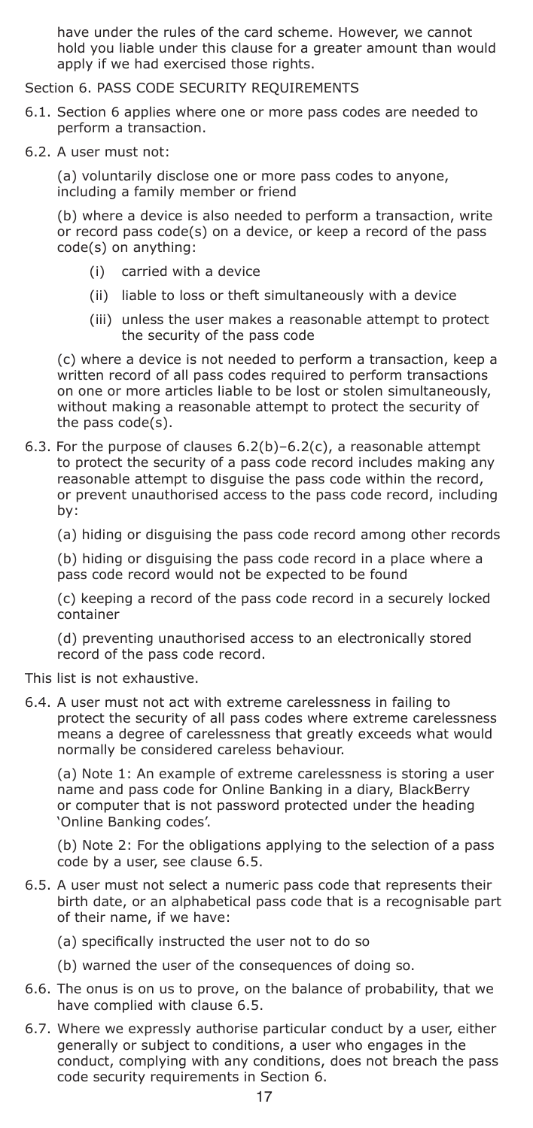have under the rules of the card scheme. However, we cannot hold you liable under this clause for a greater amount than would when the matrice and and keep confidential your User ID, phone local  $\frac{1}{2}$ apply if we had exercised those rights.

Section 6. PASS CODE SECURITY REQUIREMENTS

- 6.1. Section 6 applies where one or more pass codes are needed to perform a transaction.  $\mathcal{L}$
- 6.2. A user must not:  $\sum_{i=1}^{n}$  is the mass note.

(a) voluntarily disclose one or more pass codes to anyone, including a family member or friend

(b) where a device is also needed to perform a transaction, write or record pass code(s) on a device, or keep a record of the pass code(s) on anything:

- $\langle \cdot \rangle$  cannot men a acrice (i) carried with a device
- (ii) liable to loss or theft simultaneously with a device
- the security of the pass code (iii) unless the user makes a reasonable attempt to protect

(c) where a device is not needed to perform a transaction, keep a (c) which is a device is not included to perform a transaction, keep with the record of all pass codes required to perform transactions on one or more articles liable to be lost or stolen simultaneously, without making a reasonable attempt to protect the security of<br>the pass code(s)  $\sum_{i=1}^{n} a_i$ the pass code(s).

to mean perfect the security of a pass code record includes making any to protect the security of a pass code record includes making any reasonable attempt to disguise the pass code within the record, or prevent unauthorised access to the pass code record, including  $\mathcal{O}_I$  device we give to a use that is used to perform a user that is used to perform a user that is used to perform a used to perform a user that is used to perform a user that is used to perform a user that is used t 6.3. For the purpose of clauses 6.2(b)–6.2(c), a reasonable attempt by:

(a) hiding or disguising the pass code record among other records

(b) hiding or disguising the pass code record in a place where a pass code record would not be expected to be found

(c) keeping a record of the pass code record in a securely locked<br>container container

(d) preventing unauthorised access to an electronically stored record of the pass code record.

- $\frac{f}{f}$  factor means arrangement through which  $\frac{f}{f}$ This list is not exhaustive.
- protect the security of all pass codes where extreme carelessness means a degree of carelessness that greatly exceeds what would normally be considered careless behaviour. 6.4. A user must not act with extreme carelessness in failing to

(a) Hote at his example of example can account of example as account of the manner and pass code for Online Banking in a diary, BlackBerry or computer that is not password protected under the heading 'Online Banking codes'. The signature written on an electronic written on an electronic written on an electronic written on an electronic written on an electronic written on an electronic written on an electronic written o (a) Note 1: An example of extreme carelessness is storing a user

(b) Note 2: For the obligations applying to the selection of a pass code by a user, see clause 6.5.

- 6.5. A user must not select a numeric pass code that represents their A door mass not sensed a number pass code that represents them<br>birth date, or an alphabetical pass code that is a recognisable part bit and their cate, or an alphabetical pass of their name, if we have:
	- (a) specifically instructed the user not to do so
	- (b) warned the user of the consequences of doing so.
- 6.6. The onus is on us to prove, on the balance of probability, that we have complied with clause 6.5.
- 6.7. Where we expressly authorise particular conduct by a user, either generally or subject to conditions, a user who engages in the conduct, complying with any conditions, does not breach the pass code security requirements in Section 6.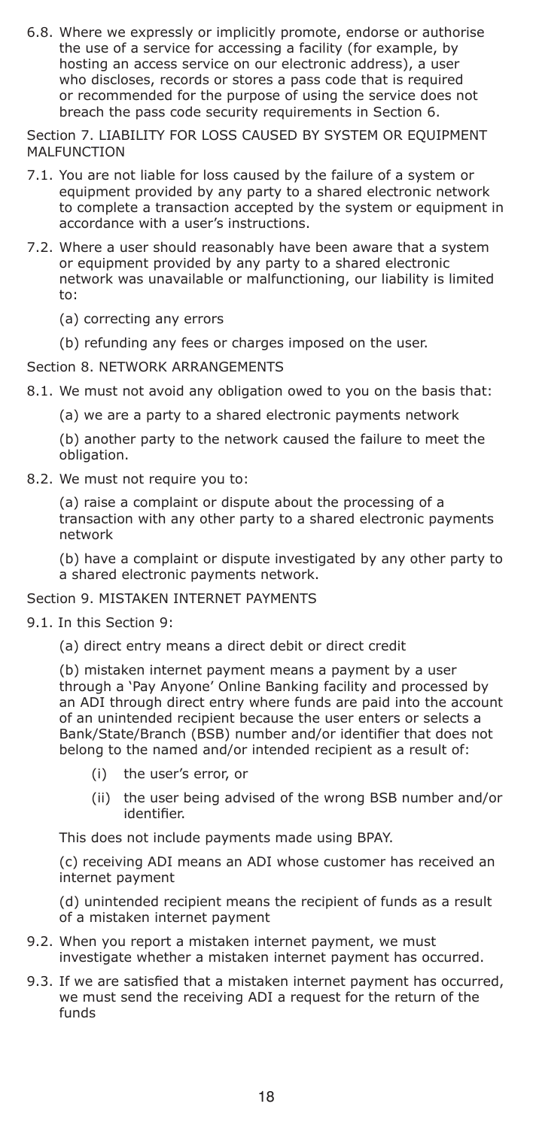6.8. Where we expressly or implicitly promote, endorse or authorise the use of a service for accessing a facility (for example, by hosting an access service on our electronic address), a user who discloses, records or stores a pass code that is required or recommended for the purpose of using the service does not breach the pass code security requirements in Section 6.

Section 7. LIABILITY FOR LOSS CAUSED BY SYSTEM OR EQUIPMENT MALFUNCTION

- 7.1. You are not liable for loss caused by the failure of a system or equipment provided by any party to a shared electronic network to complete a transaction accepted by the system or equipment in accordance with a user's instructions.
- 7.2. Where a user should reasonably have been aware that a system or equipment provided by any party to a shared electronic network was unavailable or malfunctioning, our liability is limited to:
	- (a) correcting any errors
	- (b) refunding any fees or charges imposed on the user.

#### Section 8. NETWORK ARRANGEMENTS

- 8.1. We must not avoid any obligation owed to you on the basis that:
	- (a) we are a party to a shared electronic payments network

(b) another party to the network caused the failure to meet the obligation.

8.2. We must not require you to:

(a) raise a complaint or dispute about the processing of a transaction with any other party to a shared electronic payments network

(b) have a complaint or dispute investigated by any other party to a shared electronic payments network.

#### Section 9. MISTAKEN INTERNET PAYMENTS

9.1. In this Section 9:

(a) direct entry means a direct debit or direct credit

(b) mistaken internet payment means a payment by a user through a 'Pay Anyone' Online Banking facility and processed by an ADI through direct entry where funds are paid into the account of an unintended recipient because the user enters or selects a Bank/State/Branch (BSB) number and/or identifier that does not belong to the named and/or intended recipient as a result of:

- (i) the user's error, or
- (ii) the user being advised of the wrong BSB number and/or identifier.

This does not include payments made using BPAY.

(c) receiving ADI means an ADI whose customer has received an internet payment

(d) unintended recipient means the recipient of funds as a result of a mistaken internet payment

- 9.2. When you report a mistaken internet payment, we must investigate whether a mistaken internet payment has occurred.
- 9.3. If we are satisfied that a mistaken internet payment has occurred, we must send the receiving ADI a request for the return of the funds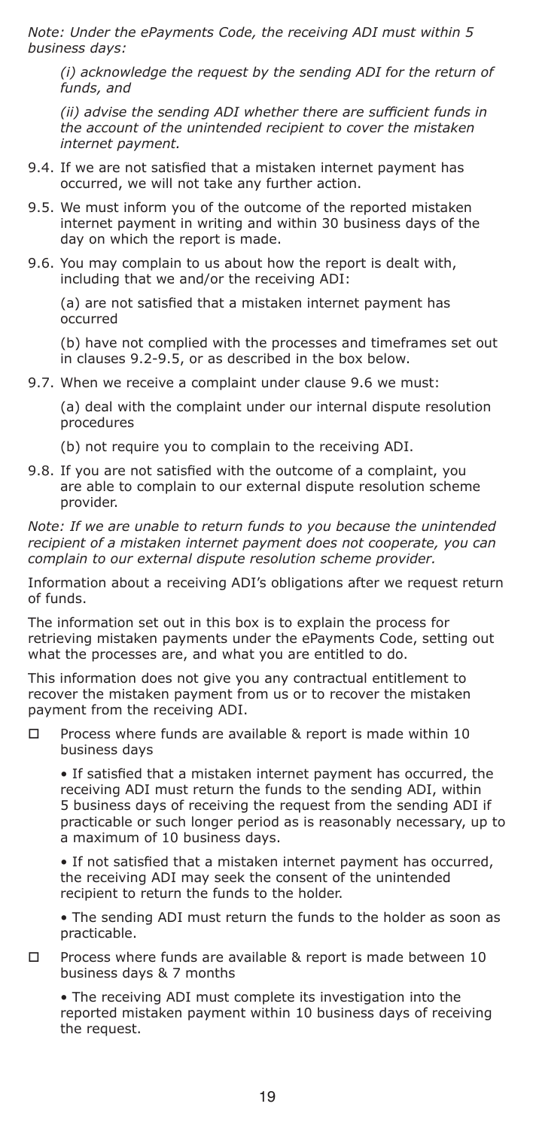*Note: Under the ePayments Code, the receiving ADI must within 5 business days:*

*(i) acknowledge the request by the sending ADI for the return of funds, and*

*(ii) advise the sending ADI whether there are sufficient funds in the account of the unintended recipient to cover the mistaken internet payment.*

- 9.4. If we are not satisfied that a mistaken internet payment has occurred, we will not take any further action.
- 9.5. We must inform you of the outcome of the reported mistaken internet payment in writing and within 30 business days of the day on which the report is made.
- 9.6. You may complain to us about how the report is dealt with, including that we and/or the receiving ADI:

(a) are not satisfied that a mistaken internet payment has occurred

(b) have not complied with the processes and timeframes set out in clauses 9.2-9.5, or as described in the box below.

9.7. When we receive a complaint under clause 9.6 we must:

(a) deal with the complaint under our internal dispute resolution procedures

- (b) not require you to complain to the receiving ADI.
- 9.8. If you are not satisfied with the outcome of a complaint, you are able to complain to our external dispute resolution scheme provider.

*Note: If we are unable to return funds to you because the unintended recipient of a mistaken internet payment does not cooperate, you can complain to our external dispute resolution scheme provider.*

Information about a receiving ADI's obligations after we request return of funds.

The information set out in this box is to explain the process for retrieving mistaken payments under the ePayments Code, setting out what the processes are, and what you are entitled to do.

This information does not give you any contractual entitlement to recover the mistaken payment from us or to recover the mistaken payment from the receiving ADI.

 $\square$  Process where funds are available & report is made within 10 business days

• If satisfied that a mistaken internet payment has occurred, the receiving ADI must return the funds to the sending ADI, within 5 business days of receiving the request from the sending ADI if practicable or such longer period as is reasonably necessary, up to a maximum of 10 business days.

• If not satisfied that a mistaken internet payment has occurred, the receiving ADI may seek the consent of the unintended recipient to return the funds to the holder.

• The sending ADI must return the funds to the holder as soon as practicable.

 $\square$  Process where funds are available & report is made between 10 business days & 7 months

• The receiving ADI must complete its investigation into the reported mistaken payment within 10 business days of receiving the request.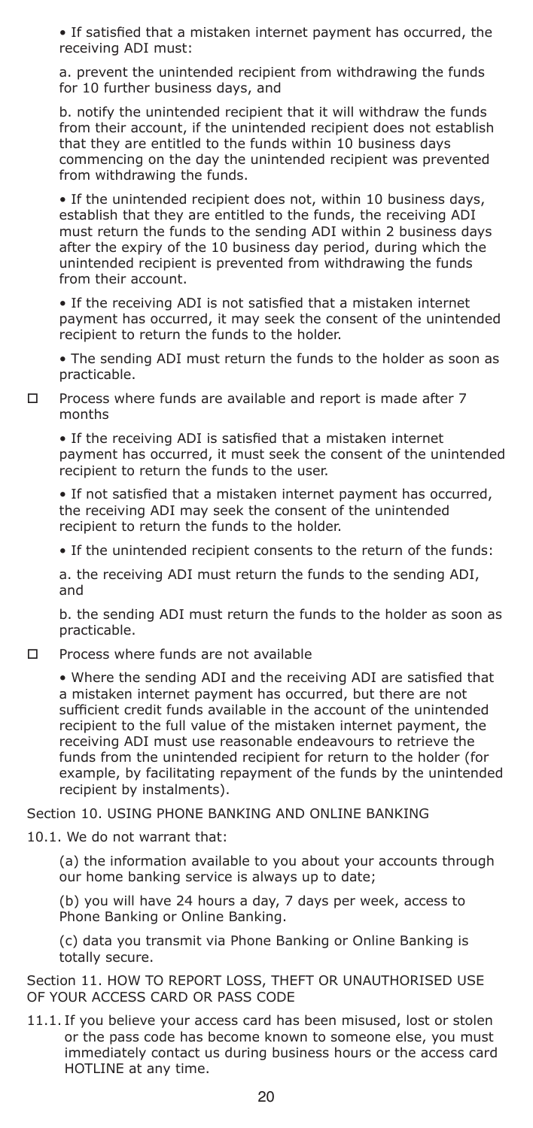• If satisfied that a mistaken internet payment has occurred, the receiving ADI must:

a. prevent the unintended recipient from withdrawing the funds for 10 further business days, and

b. notify the unintended recipient that it will withdraw the funds from their account, if the unintended recipient does not establish that they are entitled to the funds within 10 business days commencing on the day the unintended recipient was prevented from withdrawing the funds.

• If the unintended recipient does not, within 10 business days, establish that they are entitled to the funds, the receiving ADI must return the funds to the sending ADI within 2 business days after the expiry of the 10 business day period, during which the unintended recipient is prevented from withdrawing the funds from their account.

• If the receiving ADI is not satisfied that a mistaken internet payment has occurred, it may seek the consent of the unintended recipient to return the funds to the holder.

• The sending ADI must return the funds to the holder as soon as practicable.

#### $\square$  Process where funds are available and report is made after 7 months

• If the receiving ADI is satisfied that a mistaken internet payment has occurred, it must seek the consent of the unintended recipient to return the funds to the user.

• If not satisfied that a mistaken internet payment has occurred, the receiving ADI may seek the consent of the unintended recipient to return the funds to the holder.

• If the unintended recipient consents to the return of the funds:

a. the receiving ADI must return the funds to the sending ADI, and

b. the sending ADI must return the funds to the holder as soon as practicable.

 $\square$  Process where funds are not available

• Where the sending ADI and the receiving ADI are satisfied that a mistaken internet payment has occurred, but there are not sufficient credit funds available in the account of the unintended recipient to the full value of the mistaken internet payment, the receiving ADI must use reasonable endeavours to retrieve the funds from the unintended recipient for return to the holder (for example, by facilitating repayment of the funds by the unintended recipient by instalments).

Section 10. USING PHONE BANKING AND ONLINE BANKING

10.1. We do not warrant that:

(a) the information available to you about your accounts through our home banking service is always up to date;

(b) you will have 24 hours a day, 7 days per week, access to Phone Banking or Online Banking.

(c) data you transmit via Phone Banking or Online Banking is totally secure.

Section 11. HOW TO REPORT LOSS, THEFT OR UNAUTHORISED USE OF YOUR ACCESS CARD OR PASS CODE

11.1. If you believe your access card has been misused, lost or stolen or the pass code has become known to someone else, you must immediately contact us during business hours or the access card HOTLINE at any time.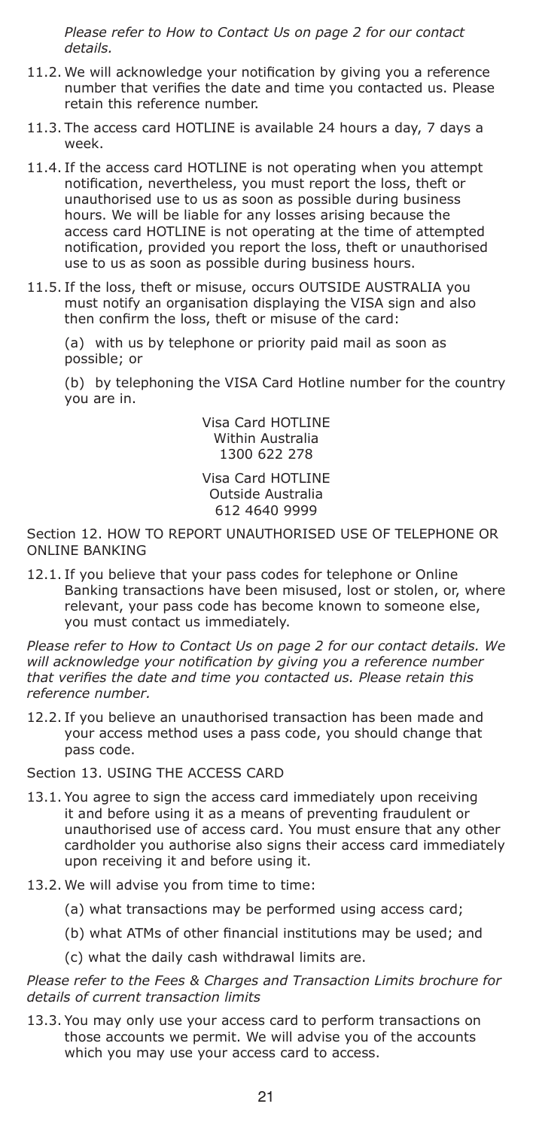*Please refer to How to Contact Us on page 2 for our contact details.*

- 11.2. We will acknowledge your notification by giving you a reference number that verifies the date and time you contacted us. Please retain this reference number.
- 11.3. The access card HOTLINE is available 24 hours a day, 7 days a week.
- 11.4. If the access card HOTLINE is not operating when you attempt notification, nevertheless, you must report the loss, theft or unauthorised use to us as soon as possible during business hours. We will be liable for any losses arising because the access card HOTLINE is not operating at the time of attempted notification, provided you report the loss, theft or unauthorised use to us as soon as possible during business hours.
- 11.5. If the loss, theft or misuse, occurs OUTSIDE AUSTRALIA you must notify an organisation displaying the VISA sign and also then confirm the loss, theft or misuse of the card:

(a) with us by telephone or priority paid mail as soon as possible; or

(b) by telephoning the VISA Card Hotline number for the country you are in.

> Visa Card HOTLINE Within Australia 1300 622 278

> Visa Card HOTLINE Outside Australia 612 4640 9999

Section 12. HOW TO REPORT UNAUTHORISED USE OF TELEPHONE OR ONLINE BANKING

12.1. If you believe that your pass codes for telephone or Online Banking transactions have been misused, lost or stolen, or, where relevant, your pass code has become known to someone else, you must contact us immediately.

*Please refer to How to Contact Us on page 2 for our contact details. We will acknowledge your notification by giving you a reference number that verifies the date and time you contacted us. Please retain this reference number.*

12.2. If you believe an unauthorised transaction has been made and your access method uses a pass code, you should change that pass code.

Section 13. USING THE ACCESS CARD

- 13.1. You agree to sign the access card immediately upon receiving it and before using it as a means of preventing fraudulent or unauthorised use of access card. You must ensure that any other cardholder you authorise also signs their access card immediately upon receiving it and before using it.
- 13.2. We will advise you from time to time:
	- (a) what transactions may be performed using access card;
	- (b) what ATMs of other financial institutions may be used; and
	- (c) what the daily cash withdrawal limits are.

*Please refer to the Fees & Charges and Transaction Limits brochure for details of current transaction limits*

13.3. You may only use your access card to perform transactions on those accounts we permit. We will advise you of the accounts which you may use your access card to access.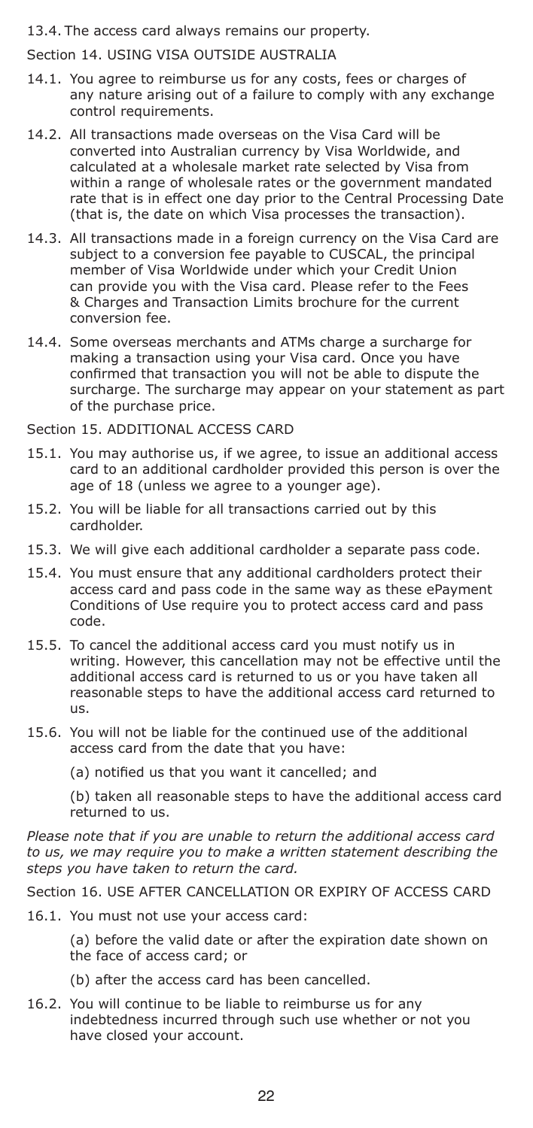13.4. The access card always remains our property.

Section 14. USING VISA OUTSIDE AUSTRALIA

- 14.1. You agree to reimburse us for any costs, fees or charges of any nature arising out of a failure to comply with any exchange control requirements.
- 14.2. All transactions made overseas on the Visa Card will be converted into Australian currency by Visa Worldwide, and calculated at a wholesale market rate selected by Visa from within a range of wholesale rates or the government mandated rate that is in effect one day prior to the Central Processing Date (that is, the date on which Visa processes the transaction).
- 14.3. All transactions made in a foreign currency on the Visa Card are subject to a conversion fee payable to CUSCAL, the principal member of Visa Worldwide under which your Credit Union can provide you with the Visa card. Please refer to the Fees & Charges and Transaction Limits brochure for the current conversion fee.
- 14.4. Some overseas merchants and ATMs charge a surcharge for making a transaction using your Visa card. Once you have confirmed that transaction you will not be able to dispute the surcharge. The surcharge may appear on your statement as part of the purchase price.

Section 15. ADDITIONAL ACCESS CARD

- 15.1. You may authorise us, if we agree, to issue an additional access card to an additional cardholder provided this person is over the age of 18 (unless we agree to a younger age).
- 15.2. You will be liable for all transactions carried out by this cardholder.
- 15.3. We will give each additional cardholder a separate pass code.
- 15.4. You must ensure that any additional cardholders protect their access card and pass code in the same way as these ePayment Conditions of Use require you to protect access card and pass code.
- 15.5. To cancel the additional access card you must notify us in writing. However, this cancellation may not be effective until the additional access card is returned to us or you have taken all reasonable steps to have the additional access card returned to us.
- 15.6. You will not be liable for the continued use of the additional access card from the date that you have:

(a) notified us that you want it cancelled; and

(b) taken all reasonable steps to have the additional access card returned to us.

*Please note that if you are unable to return the additional access card to us, we may require you to make a written statement describing the steps you have taken to return the card.*

Section 16. USE AFTER CANCELLATION OR EXPIRY OF ACCESS CARD

16.1. You must not use your access card:

(a) before the valid date or after the expiration date shown on the face of access card; or

- (b) after the access card has been cancelled.
- 16.2. You will continue to be liable to reimburse us for any indebtedness incurred through such use whether or not you have closed your account.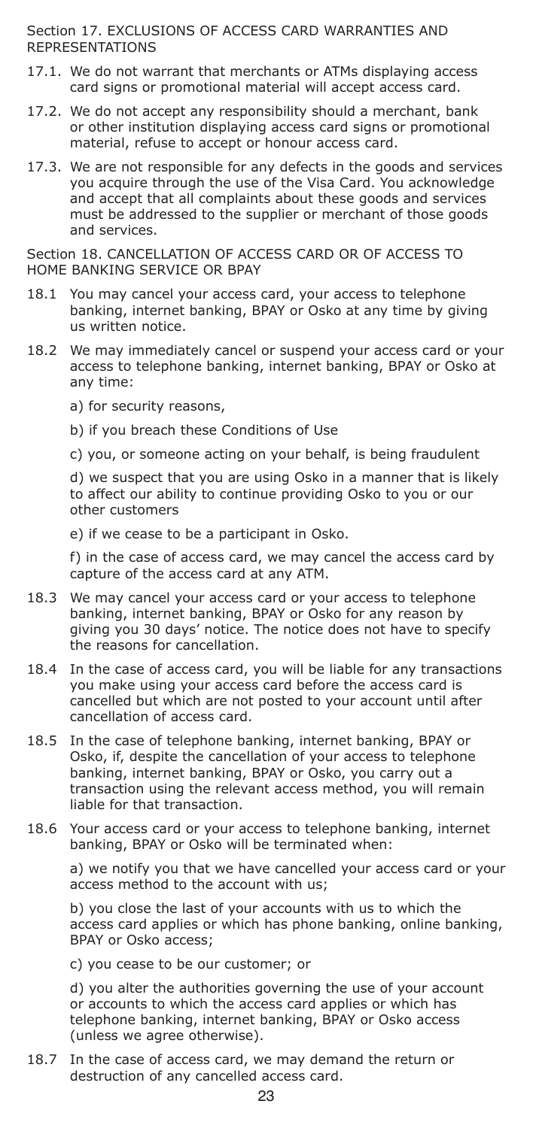#### Section 17. EXCLUSIONS OF ACCESS CARD WARRANTIES AND REPRESENTATIONS

- 17.1. We do not warrant that merchants or ATMs displaying access card signs or promotional material will accept access card.
- 17.2. We do not accept any responsibility should a merchant, bank or other institution displaying access card signs or promotional material, refuse to accept or honour access card.
- 17.3. We are not responsible for any defects in the goods and services you acquire through the use of the Visa Card. You acknowledge and accept that all complaints about these goods and services must be addressed to the supplier or merchant of those goods and services.

Section 18. CANCELLATION OF ACCESS CARD OR OF ACCESS TO HOME BANKING SERVICE OR BPAY

- 18.1 You may cancel your access card, your access to telephone banking, internet banking, BPAY or Osko at any time by giving us written notice.
- 18.2 We may immediately cancel or suspend your access card or your access to telephone banking, internet banking, BPAY or Osko at any time:
	- a) for security reasons,
	- b) if you breach these Conditions of Use
	- c) you, or someone acting on your behalf, is being fraudulent

d) we suspect that you are using Osko in a manner that is likely to affect our ability to continue providing Osko to you or our other customers

e) if we cease to be a participant in Osko.

f) in the case of access card, we may cancel the access card by capture of the access card at any ATM.

- 18.3 We may cancel your access card or your access to telephone banking, internet banking, BPAY or Osko for any reason by giving you 30 days' notice. The notice does not have to specify the reasons for cancellation.
- 18.4 In the case of access card, you will be liable for any transactions you make using your access card before the access card is cancelled but which are not posted to your account until after cancellation of access card.
- 18.5 In the case of telephone banking, internet banking, BPAY or Osko, if, despite the cancellation of your access to telephone banking, internet banking, BPAY or Osko, you carry out a transaction using the relevant access method, you will remain liable for that transaction.
- 18.6 Your access card or your access to telephone banking, internet banking, BPAY or Osko will be terminated when:

a) we notify you that we have cancelled your access card or your access method to the account with us;

b) you close the last of your accounts with us to which the access card applies or which has phone banking, online banking, BPAY or Osko access;

c) you cease to be our customer; or

d) you alter the authorities governing the use of your account or accounts to which the access card applies or which has telephone banking, internet banking, BPAY or Osko access (unless we agree otherwise).

18.7 In the case of access card, we may demand the return or destruction of any cancelled access card.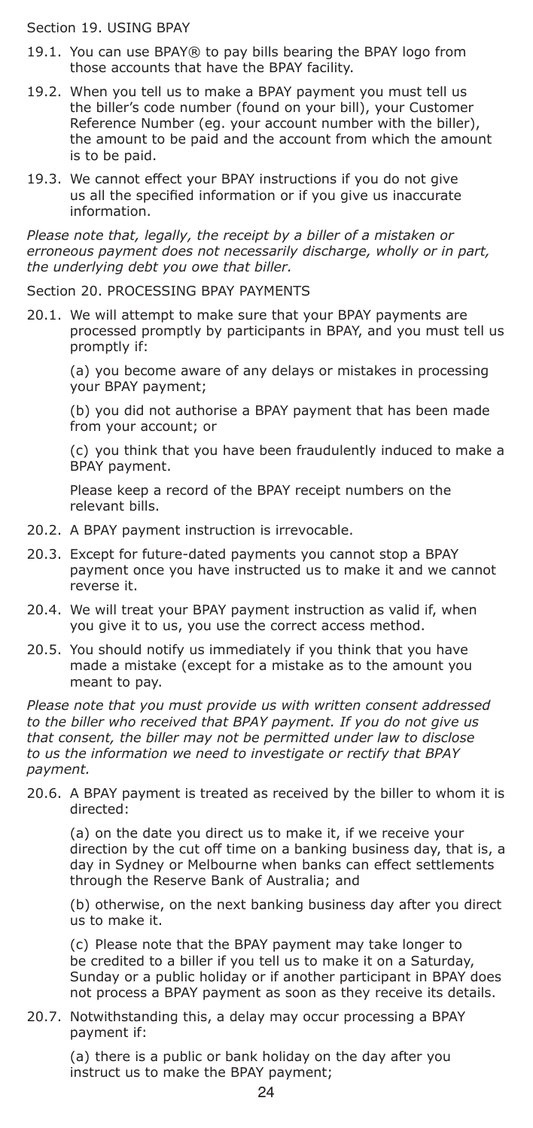Section 19. USING BPAY

- 19.1. You can use BPAY® to pay bills bearing the BPAY logo from those accounts that have the BPAY facility.
- 19.2. When you tell us to make a BPAY payment you must tell us the biller's code number (found on your bill), your Customer Reference Number (eg. your account number with the biller), the amount to be paid and the account from which the amount is to be paid.
- 19.3. We cannot effect your BPAY instructions if you do not give us all the specified information or if you give us inaccurate information.

*Please note that, legally, the receipt by a biller of a mistaken or erroneous payment does not necessarily discharge, wholly or in part, the underlying debt you owe that biller.*

Section 20. PROCESSING BPAY PAYMENTS

20.1. We will attempt to make sure that your BPAY payments are processed promptly by participants in BPAY, and you must tell us promptly if:

(a) you become aware of any delays or mistakes in processing your BPAY payment;

(b) you did not authorise a BPAY payment that has been made from your account; or

(c) you think that you have been fraudulently induced to make a BPAY payment.

Please keep a record of the BPAY receipt numbers on the relevant bills.

- 20.2. A BPAY payment instruction is irrevocable.
- 20.3. Except for future-dated payments you cannot stop a BPAY payment once you have instructed us to make it and we cannot reverse it.
- 20.4. We will treat your BPAY payment instruction as valid if, when you give it to us, you use the correct access method.
- 20.5. You should notify us immediately if you think that you have made a mistake (except for a mistake as to the amount you meant to pay.

*Please note that you must provide us with written consent addressed to the biller who received that BPAY payment. If you do not give us that consent, the biller may not be permitted under law to disclose to us the information we need to investigate or rectify that BPAY payment.*

20.6. A BPAY payment is treated as received by the biller to whom it is directed:

(a) on the date you direct us to make it, if we receive your direction by the cut off time on a banking business day, that is, a day in Sydney or Melbourne when banks can effect settlements through the Reserve Bank of Australia; and

(b) otherwise, on the next banking business day after you direct us to make it.

(c) Please note that the BPAY payment may take longer to be credited to a biller if you tell us to make it on a Saturday, Sunday or a public holiday or if another participant in BPAY does not process a BPAY payment as soon as they receive its details.

20.7. Notwithstanding this, a delay may occur processing a BPAY payment if:

(a) there is a public or bank holiday on the day after you instruct us to make the BPAY payment;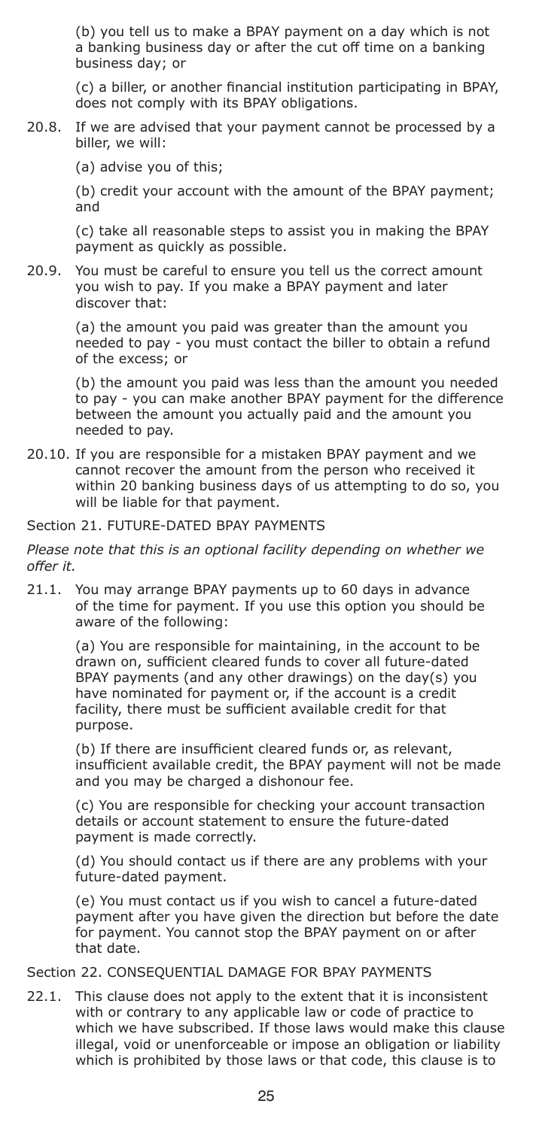(b) you tell us to make a BPAY payment on a day which is not a banking business day or after the cut off time on a banking business day; or

(c) a biller, or another financial institution participating in BPAY, does not comply with its BPAY obligations.

- 20.8. If we are advised that your payment cannot be processed by a biller, we will:
	- (a) advise you of this;

(b) credit your account with the amount of the BPAY payment; and

(c) take all reasonable steps to assist you in making the BPAY payment as quickly as possible.

20.9. You must be careful to ensure you tell us the correct amount you wish to pay. If you make a BPAY payment and later discover that:

> (a) the amount you paid was greater than the amount you needed to pay - you must contact the biller to obtain a refund of the excess; or

(b) the amount you paid was less than the amount you needed to pay - you can make another BPAY payment for the difference between the amount you actually paid and the amount you needed to pay.

20.10. If you are responsible for a mistaken BPAY payment and we cannot recover the amount from the person who received it within 20 banking business days of us attempting to do so, you will be liable for that payment.

#### Section 21. FUTURE-DATED BPAY PAYMENTS

*Please note that this is an optional facility depending on whether we offer it.*

21.1. You may arrange BPAY payments up to 60 days in advance of the time for payment. If you use this option you should be aware of the following:

> (a) You are responsible for maintaining, in the account to be drawn on, sufficient cleared funds to cover all future-dated BPAY payments (and any other drawings) on the day(s) you have nominated for payment or, if the account is a credit facility, there must be sufficient available credit for that purpose.

(b) If there are insufficient cleared funds or, as relevant, insufficient available credit, the BPAY payment will not be made and you may be charged a dishonour fee.

(c) You are responsible for checking your account transaction details or account statement to ensure the future-dated payment is made correctly.

(d) You should contact us if there are any problems with your future-dated payment.

(e) You must contact us if you wish to cancel a future-dated payment after you have given the direction but before the date for payment. You cannot stop the BPAY payment on or after that date.

#### Section 22. CONSEQUENTIAL DAMAGE FOR BPAY PAYMENTS

22.1. This clause does not apply to the extent that it is inconsistent with or contrary to any applicable law or code of practice to which we have subscribed. If those laws would make this clause illegal, void or unenforceable or impose an obligation or liability which is prohibited by those laws or that code, this clause is to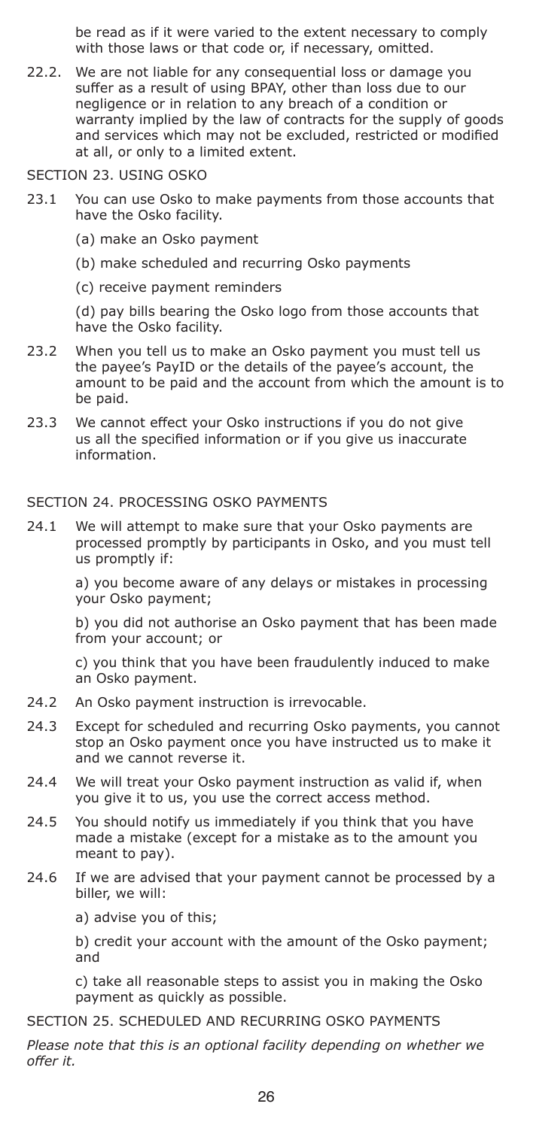be read as if it were varied to the extent necessary to comply with those laws or that code or, if necessary, omitted.

22.2. We are not liable for any consequential loss or damage you suffer as a result of using BPAY, other than loss due to our negligence or in relation to any breach of a condition or warranty implied by the law of contracts for the supply of goods and services which may not be excluded, restricted or modified at all, or only to a limited extent.

#### SECTION 23. USING OSKO

- 23.1 You can use Osko to make payments from those accounts that have the Osko facility.
	- (a) make an Osko payment
	- (b) make scheduled and recurring Osko payments
	- (c) receive payment reminders

(d) pay bills bearing the Osko logo from those accounts that have the Osko facility.

- 23.2 When you tell us to make an Osko payment you must tell us the payee's PayID or the details of the payee's account, the amount to be paid and the account from which the amount is to be paid.
- 23.3 We cannot effect your Osko instructions if you do not give us all the specified information or if you give us inaccurate information.

#### SECTION 24. PROCESSING OSKO PAYMENTS

24.1 We will attempt to make sure that your Osko payments are processed promptly by participants in Osko, and you must tell us promptly if:

> a) you become aware of any delays or mistakes in processing your Osko payment;

b) you did not authorise an Osko payment that has been made from your account; or

c) you think that you have been fraudulently induced to make an Osko payment.

- 24.2 An Osko payment instruction is irrevocable.
- 24.3 Except for scheduled and recurring Osko payments, you cannot stop an Osko payment once you have instructed us to make it and we cannot reverse it.
- 24.4 We will treat your Osko payment instruction as valid if, when you give it to us, you use the correct access method.
- 24.5 You should notify us immediately if you think that you have made a mistake (except for a mistake as to the amount you meant to pay).
- 24.6 If we are advised that your payment cannot be processed by a biller, we will:
	- a) advise you of this;

b) credit your account with the amount of the Osko payment; and

c) take all reasonable steps to assist you in making the Osko payment as quickly as possible.

SECTION 25. SCHEDULED AND RECURRING OSKO PAYMENTS

*Please note that this is an optional facility depending on whether we offer it.*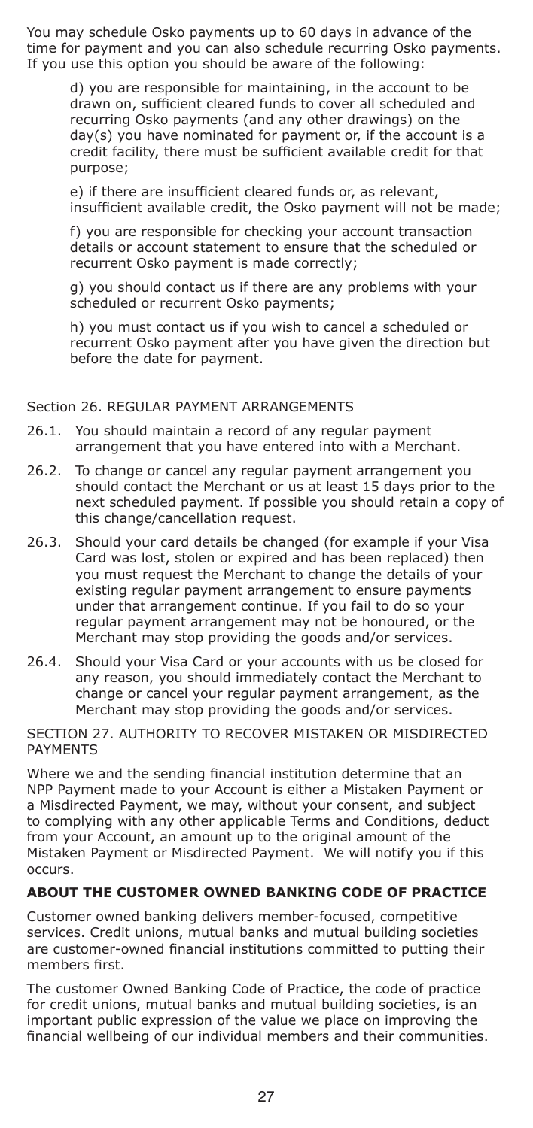You may schedule Osko payments up to 60 days in advance of the time for payment and you can also schedule recurring Osko payments. If you use this option you should be aware of the following:

d) you are responsible for maintaining, in the account to be drawn on, sufficient cleared funds to cover all scheduled and recurring Osko payments (and any other drawings) on the day(s) you have nominated for payment or, if the account is a credit facility, there must be sufficient available credit for that purpose;

e) if there are insufficient cleared funds or, as relevant, insufficient available credit, the Osko payment will not be made;

f) you are responsible for checking your account transaction details or account statement to ensure that the scheduled or recurrent Osko payment is made correctly;

g) you should contact us if there are any problems with your scheduled or recurrent Osko payments;

h) you must contact us if you wish to cancel a scheduled or recurrent Osko payment after you have given the direction but before the date for payment.

#### Section 26. REGULAR PAYMENT ARRANGEMENTS

- 26.1. You should maintain a record of any regular payment arrangement that you have entered into with a Merchant.
- 26.2. To change or cancel any regular payment arrangement you should contact the Merchant or us at least 15 days prior to the next scheduled payment. If possible you should retain a copy of this change/cancellation request.
- 26.3. Should your card details be changed (for example if your Visa Card was lost, stolen or expired and has been replaced) then you must request the Merchant to change the details of your existing regular payment arrangement to ensure payments under that arrangement continue. If you fail to do so your regular payment arrangement may not be honoured, or the Merchant may stop providing the goods and/or services.
- 26.4. Should your Visa Card or your accounts with us be closed for any reason, you should immediately contact the Merchant to change or cancel your regular payment arrangement, as the Merchant may stop providing the goods and/or services.

SECTION 27. AUTHORITY TO RECOVER MISTAKEN OR MISDIRECTED PAYMENTS

Where we and the sending financial institution determine that an NPP Payment made to your Account is either a Mistaken Payment or a Misdirected Payment, we may, without your consent, and subject to complying with any other applicable Terms and Conditions, deduct from your Account, an amount up to the original amount of the Mistaken Payment or Misdirected Payment. We will notify you if this occurs.

#### **ABOUT THE CUSTOMER OWNED BANKING CODE OF PRACTICE**

Customer owned banking delivers member-focused, competitive services. Credit unions, mutual banks and mutual building societies are customer-owned financial institutions committed to putting their members first.

The customer Owned Banking Code of Practice, the code of practice for credit unions, mutual banks and mutual building societies, is an important public expression of the value we place on improving the financial wellbeing of our individual members and their communities.